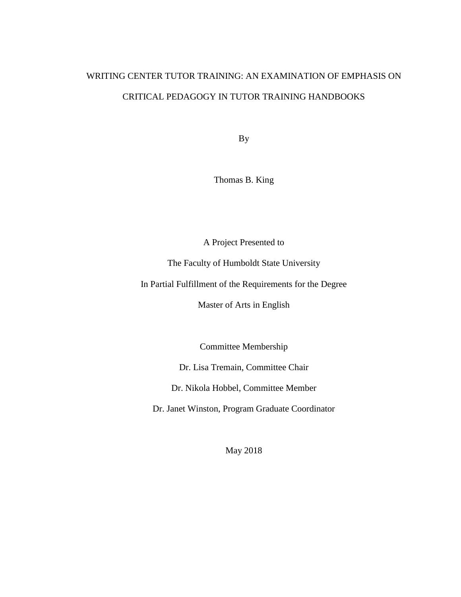## WRITING CENTER TUTOR TRAINING: AN EXAMINATION OF EMPHASIS ON CRITICAL PEDAGOGY IN TUTOR TRAINING HANDBOOKS

By

Thomas B. King

A Project Presented to

The Faculty of Humboldt State University

In Partial Fulfillment of the Requirements for the Degree

Master of Arts in English

Committee Membership

Dr. Lisa Tremain, Committee Chair

Dr. Nikola Hobbel, Committee Member

Dr. Janet Winston, Program Graduate Coordinator

May 2018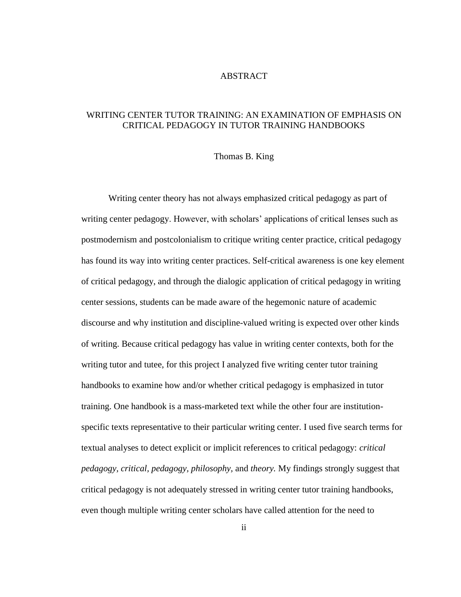### ABSTRACT

### <span id="page-1-0"></span>WRITING CENTER TUTOR TRAINING: AN EXAMINATION OF EMPHASIS ON CRITICAL PEDAGOGY IN TUTOR TRAINING HANDBOOKS

#### Thomas B. King

Writing center theory has not always emphasized critical pedagogy as part of writing center pedagogy. However, with scholars' applications of critical lenses such as postmodernism and postcolonialism to critique writing center practice, critical pedagogy has found its way into writing center practices. Self-critical awareness is one key element of critical pedagogy, and through the dialogic application of critical pedagogy in writing center sessions, students can be made aware of the hegemonic nature of academic discourse and why institution and discipline-valued writing is expected over other kinds of writing. Because critical pedagogy has value in writing center contexts, both for the writing tutor and tutee, for this project I analyzed five writing center tutor training handbooks to examine how and/or whether critical pedagogy is emphasized in tutor training. One handbook is a mass-marketed text while the other four are institutionspecific texts representative to their particular writing center. I used five search terms for textual analyses to detect explicit or implicit references to critical pedagogy: *critical pedagogy, critical, pedagogy, philosophy,* and *theory.* My findings strongly suggest that critical pedagogy is not adequately stressed in writing center tutor training handbooks, even though multiple writing center scholars have called attention for the need to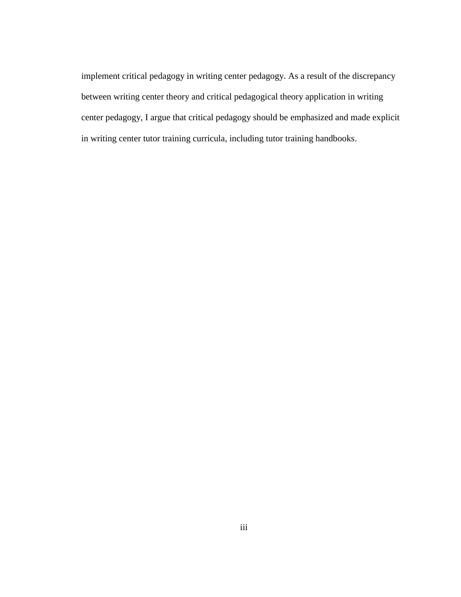implement critical pedagogy in writing center pedagogy. As a result of the discrepancy between writing center theory and critical pedagogical theory application in writing center pedagogy, I argue that critical pedagogy should be emphasized and made explicit in writing center tutor training curricula, including tutor training handbooks.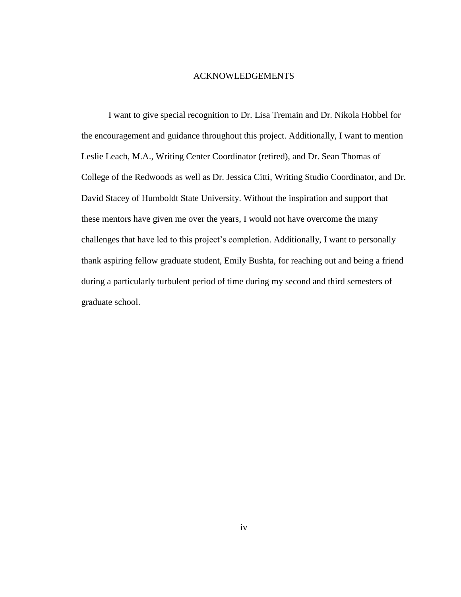### ACKNOWLEDGEMENTS

<span id="page-3-0"></span>I want to give special recognition to Dr. Lisa Tremain and Dr. Nikola Hobbel for the encouragement and guidance throughout this project. Additionally, I want to mention Leslie Leach, M.A., Writing Center Coordinator (retired), and Dr. Sean Thomas of College of the Redwoods as well as Dr. Jessica Citti, Writing Studio Coordinator, and Dr. David Stacey of Humboldt State University. Without the inspiration and support that these mentors have given me over the years, I would not have overcome the many challenges that have led to this project's completion. Additionally, I want to personally thank aspiring fellow graduate student, Emily Bushta, for reaching out and being a friend during a particularly turbulent period of time during my second and third semesters of graduate school.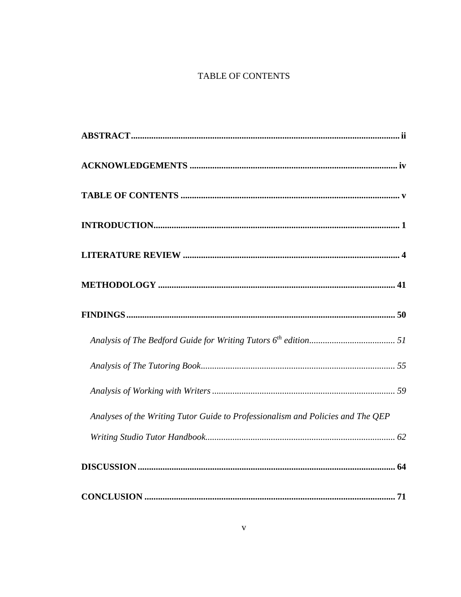### TABLE OF CONTENTS

<span id="page-4-0"></span>

| Analyses of the Writing Tutor Guide to Professionalism and Policies and The QEP |
|---------------------------------------------------------------------------------|
|                                                                                 |
|                                                                                 |
|                                                                                 |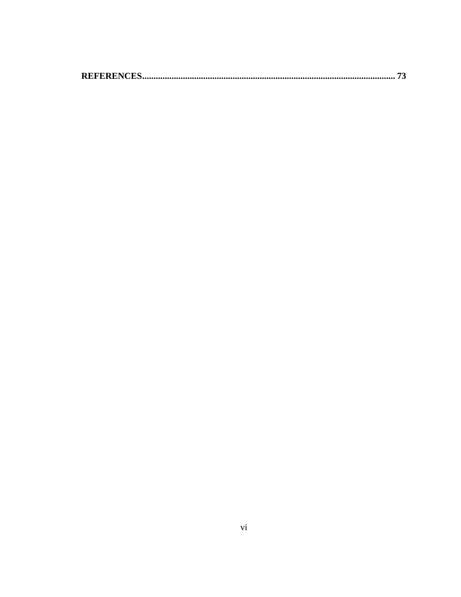|--|--|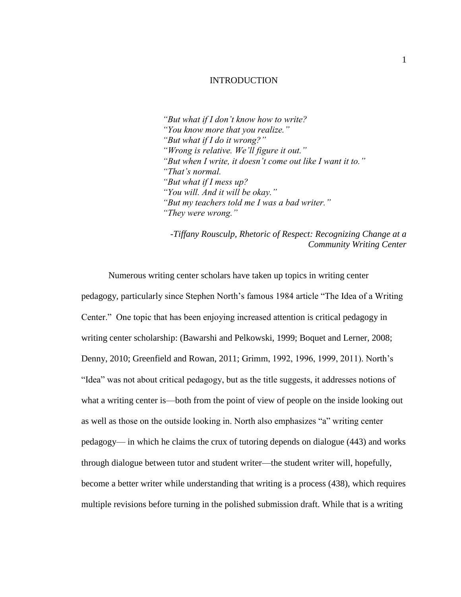### INTRODUCTION

<span id="page-6-0"></span>*"But what if I don't know how to write? "You know more that you realize." "But what if I do it wrong?" "Wrong is relative. We'll figure it out." "But when I write, it doesn't come out like I want it to." "That's normal. "But what if I mess up? "You will. And it will be okay." "But my teachers told me I was a bad writer." "They were wrong."*

*-Tiffany Rousculp, Rhetoric of Respect: Recognizing Change at a Community Writing Center*

Numerous writing center scholars have taken up topics in writing center pedagogy, particularly since Stephen North's famous 1984 article "The Idea of a Writing Center." One topic that has been enjoying increased attention is critical pedagogy in writing center scholarship: (Bawarshi and Pelkowski, 1999; Boquet and Lerner, 2008; Denny, 2010; Greenfield and Rowan, 2011; Grimm, 1992, 1996, 1999, 2011). North's "Idea" was not about critical pedagogy, but as the title suggests, it addresses notions of what a writing center is—both from the point of view of people on the inside looking out as well as those on the outside looking in. North also emphasizes "a" writing center pedagogy— in which he claims the crux of tutoring depends on dialogue (443) and works through dialogue between tutor and student writer—the student writer will, hopefully, become a better writer while understanding that writing is a process (438), which requires multiple revisions before turning in the polished submission draft. While that is a writing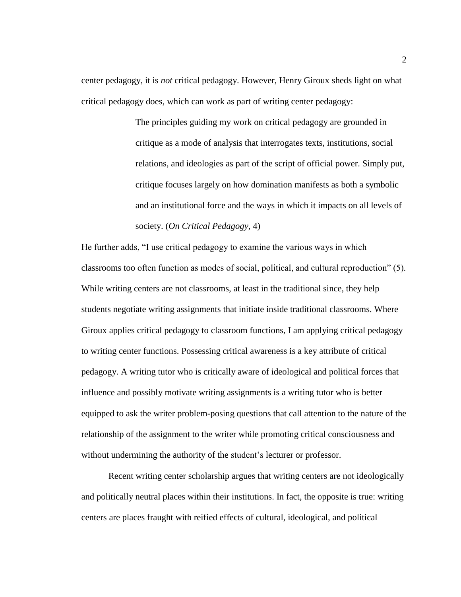center pedagogy, it is *not* critical pedagogy. However, Henry Giroux sheds light on what critical pedagogy does, which can work as part of writing center pedagogy:

> The principles guiding my work on critical pedagogy are grounded in critique as a mode of analysis that interrogates texts, institutions, social relations, and ideologies as part of the script of official power. Simply put, critique focuses largely on how domination manifests as both a symbolic and an institutional force and the ways in which it impacts on all levels of society. (*On Critical Pedagogy*, 4)

He further adds, "I use critical pedagogy to examine the various ways in which classrooms too often function as modes of social, political, and cultural reproduction" (5). While writing centers are not classrooms, at least in the traditional since, they help students negotiate writing assignments that initiate inside traditional classrooms. Where Giroux applies critical pedagogy to classroom functions, I am applying critical pedagogy to writing center functions. Possessing critical awareness is a key attribute of critical pedagogy. A writing tutor who is critically aware of ideological and political forces that influence and possibly motivate writing assignments is a writing tutor who is better equipped to ask the writer problem-posing questions that call attention to the nature of the relationship of the assignment to the writer while promoting critical consciousness and without undermining the authority of the student's lecturer or professor.

Recent writing center scholarship argues that writing centers are not ideologically and politically neutral places within their institutions. In fact, the opposite is true: writing centers are places fraught with reified effects of cultural, ideological, and political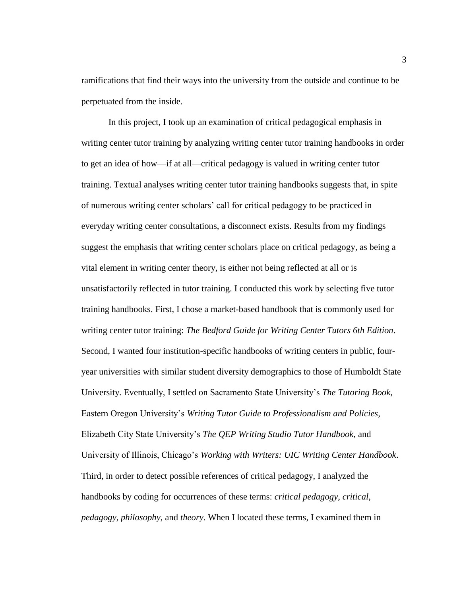ramifications that find their ways into the university from the outside and continue to be perpetuated from the inside.

In this project, I took up an examination of critical pedagogical emphasis in writing center tutor training by analyzing writing center tutor training handbooks in order to get an idea of how—if at all—critical pedagogy is valued in writing center tutor training. Textual analyses writing center tutor training handbooks suggests that, in spite of numerous writing center scholars' call for critical pedagogy to be practiced in everyday writing center consultations, a disconnect exists. Results from my findings suggest the emphasis that writing center scholars place on critical pedagogy, as being a vital element in writing center theory, is either not being reflected at all or is unsatisfactorily reflected in tutor training. I conducted this work by selecting five tutor training handbooks. First, I chose a market-based handbook that is commonly used for writing center tutor training: *The Bedford Guide for Writing Center Tutors 6th Edition*. Second, I wanted four institution-specific handbooks of writing centers in public, fouryear universities with similar student diversity demographics to those of Humboldt State University. Eventually, I settled on Sacramento State University's *The Tutoring Book*, Eastern Oregon University's *Writing Tutor Guide to Professionalism and Policies,* Elizabeth City State University's *The QEP Writing Studio Tutor Handbook*, and University of Illinois, Chicago's *Working with Writers: UIC Writing Center Handbook*. Third, in order to detect possible references of critical pedagogy, I analyzed the handbooks by coding for occurrences of these terms: *critical pedagogy*, *critical*, *pedagogy, philosophy*, and *theory*. When I located these terms, I examined them in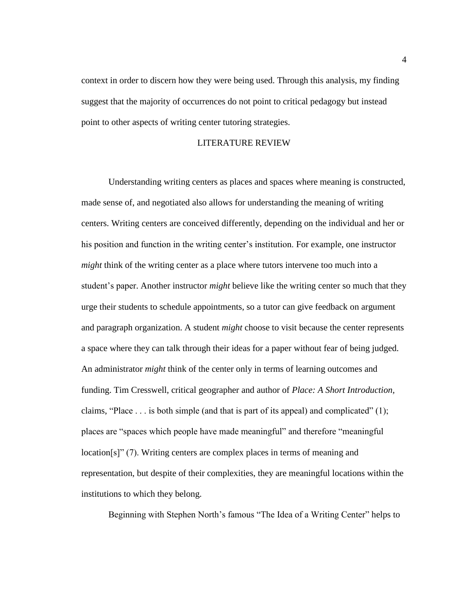context in order to discern how they were being used. Through this analysis, my finding suggest that the majority of occurrences do not point to critical pedagogy but instead point to other aspects of writing center tutoring strategies.

### LITERATURE REVIEW

<span id="page-9-0"></span>Understanding writing centers as places and spaces where meaning is constructed, made sense of, and negotiated also allows for understanding the meaning of writing centers. Writing centers are conceived differently, depending on the individual and her or his position and function in the writing center's institution. For example, one instructor *might* think of the writing center as a place where tutors intervene too much into a student's paper. Another instructor *might* believe like the writing center so much that they urge their students to schedule appointments, so a tutor can give feedback on argument and paragraph organization. A student *might* choose to visit because the center represents a space where they can talk through their ideas for a paper without fear of being judged. An administrator *might* think of the center only in terms of learning outcomes and funding. Tim Cresswell, critical geographer and author of *Place: A Short Introduction,*  claims, "Place  $\dots$  is both simple (and that is part of its appeal) and complicated" (1); places are "spaces which people have made meaningful" and therefore "meaningful location[s]" (7). Writing centers are complex places in terms of meaning and representation, but despite of their complexities, they are meaningful locations within the institutions to which they belong.

Beginning with Stephen North's famous "The Idea of a Writing Center" helps to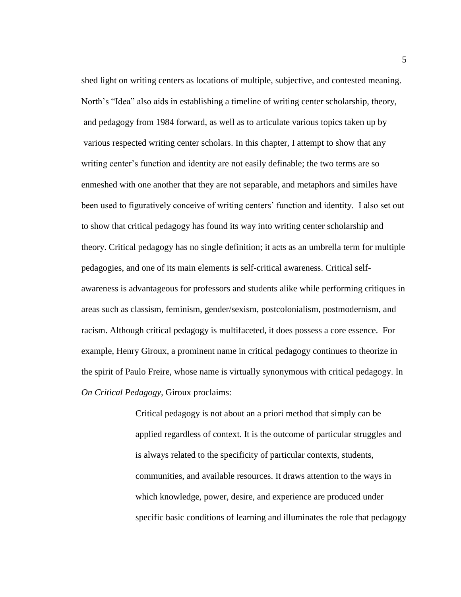shed light on writing centers as locations of multiple, subjective, and contested meaning. North's "Idea" also aids in establishing a timeline of writing center scholarship, theory, and pedagogy from 1984 forward, as well as to articulate various topics taken up by various respected writing center scholars. In this chapter, I attempt to show that any writing center's function and identity are not easily definable; the two terms are so enmeshed with one another that they are not separable, and metaphors and similes have been used to figuratively conceive of writing centers' function and identity. I also set out to show that critical pedagogy has found its way into writing center scholarship and theory. Critical pedagogy has no single definition; it acts as an umbrella term for multiple pedagogies, and one of its main elements is self-critical awareness. Critical selfawareness is advantageous for professors and students alike while performing critiques in areas such as classism, feminism, gender/sexism, postcolonialism, postmodernism, and racism. Although critical pedagogy is multifaceted, it does possess a core essence. For example, Henry Giroux, a prominent name in critical pedagogy continues to theorize in the spirit of Paulo Freire, whose name is virtually synonymous with critical pedagogy. In *On Critical Pedagogy,* Giroux proclaims:

> Critical pedagogy is not about an a priori method that simply can be applied regardless of context. It is the outcome of particular struggles and is always related to the specificity of particular contexts, students, communities, and available resources. It draws attention to the ways in which knowledge, power, desire, and experience are produced under specific basic conditions of learning and illuminates the role that pedagogy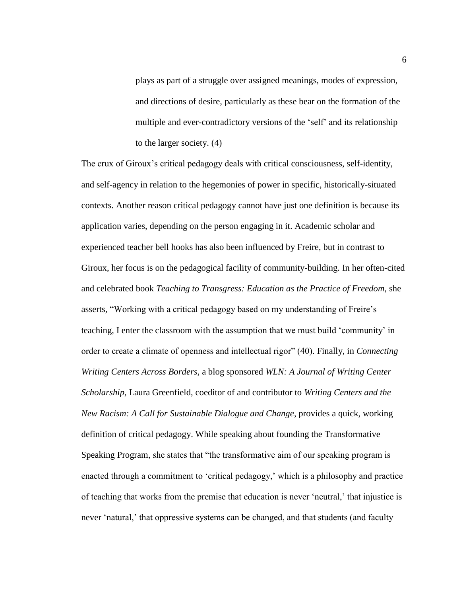plays as part of a struggle over assigned meanings, modes of expression, and directions of desire, particularly as these bear on the formation of the multiple and ever-contradictory versions of the 'self' and its relationship to the larger society. (4)

The crux of Giroux's critical pedagogy deals with critical consciousness, self-identity, and self-agency in relation to the hegemonies of power in specific, historically-situated contexts. Another reason critical pedagogy cannot have just one definition is because its application varies, depending on the person engaging in it. Academic scholar and experienced teacher bell hooks has also been influenced by Freire, but in contrast to Giroux, her focus is on the pedagogical facility of community-building. In her often-cited and celebrated book *Teaching to Transgress: Education as the Practice of Freedom,* she asserts, "Working with a critical pedagogy based on my understanding of Freire's teaching, I enter the classroom with the assumption that we must build 'community' in order to create a climate of openness and intellectual rigor" (40). Finally, in *Connecting Writing Centers Across Borders*, a blog sponsored *WLN: A Journal of Writing Center Scholarship*, Laura Greenfield, coeditor of and contributor to *Writing Centers and the New Racism: A Call for Sustainable Dialogue and Change*, provides a quick, working definition of critical pedagogy. While speaking about founding the Transformative Speaking Program, she states that "the transformative aim of our speaking program is enacted through a commitment to 'critical pedagogy,' which is a philosophy and practice of teaching that works from the premise that education is never 'neutral,' that injustice is never 'natural,' that oppressive systems can be changed, and that students (and faculty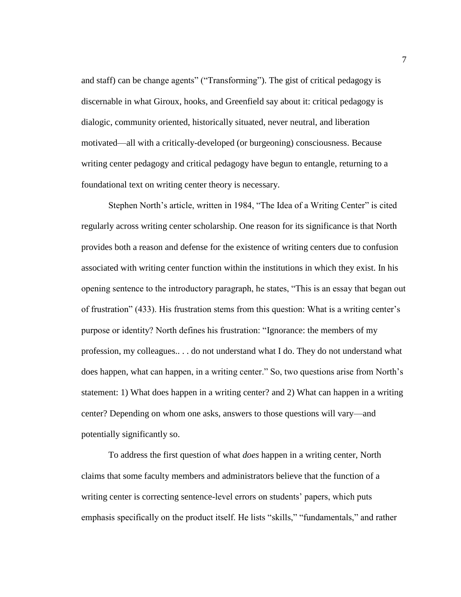and staff) can be change agents" ("Transforming"). The gist of critical pedagogy is discernable in what Giroux, hooks, and Greenfield say about it: critical pedagogy is dialogic, community oriented, historically situated, never neutral, and liberation motivated—all with a critically-developed (or burgeoning) consciousness. Because writing center pedagogy and critical pedagogy have begun to entangle, returning to a foundational text on writing center theory is necessary.

Stephen North's article, written in 1984, "The Idea of a Writing Center" is cited regularly across writing center scholarship. One reason for its significance is that North provides both a reason and defense for the existence of writing centers due to confusion associated with writing center function within the institutions in which they exist. In his opening sentence to the introductory paragraph, he states, "This is an essay that began out of frustration" (433). His frustration stems from this question: What is a writing center's purpose or identity? North defines his frustration: "Ignorance: the members of my profession, my colleagues.. . . do not understand what I do. They do not understand what does happen, what can happen, in a writing center." So, two questions arise from North's statement: 1) What does happen in a writing center? and 2) What can happen in a writing center? Depending on whom one asks, answers to those questions will vary—and potentially significantly so.

To address the first question of what *does* happen in a writing center, North claims that some faculty members and administrators believe that the function of a writing center is correcting sentence-level errors on students' papers, which puts emphasis specifically on the product itself. He lists "skills," "fundamentals," and rather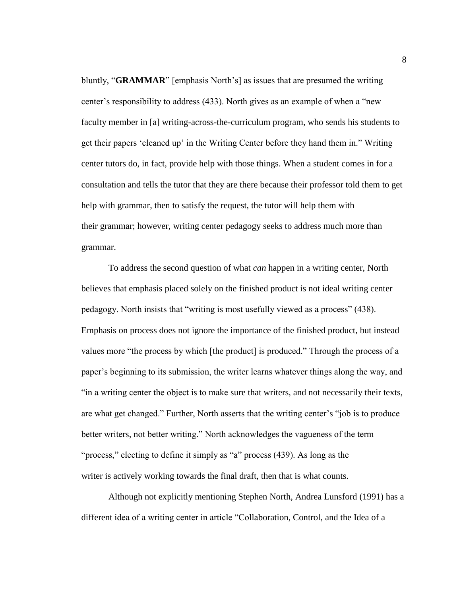bluntly, "**GRAMMAR**" [emphasis North's] as issues that are presumed the writing center's responsibility to address (433). North gives as an example of when a "new faculty member in [a] writing-across-the-curriculum program, who sends his students to get their papers 'cleaned up' in the Writing Center before they hand them in." Writing center tutors do, in fact, provide help with those things. When a student comes in for a consultation and tells the tutor that they are there because their professor told them to get help with grammar, then to satisfy the request, the tutor will help them with their grammar; however, writing center pedagogy seeks to address much more than grammar.

To address the second question of what *can* happen in a writing center, North believes that emphasis placed solely on the finished product is not ideal writing center pedagogy. North insists that "writing is most usefully viewed as a process" (438). Emphasis on process does not ignore the importance of the finished product, but instead values more "the process by which [the product] is produced." Through the process of a paper's beginning to its submission, the writer learns whatever things along the way, and "in a writing center the object is to make sure that writers, and not necessarily their texts, are what get changed." Further, North asserts that the writing center's "job is to produce better writers, not better writing." North acknowledges the vagueness of the term "process," electing to define it simply as "a" process (439). As long as the writer is actively working towards the final draft, then that is what counts.

Although not explicitly mentioning Stephen North, Andrea Lunsford (1991) has a different idea of a writing center in article "Collaboration, Control, and the Idea of a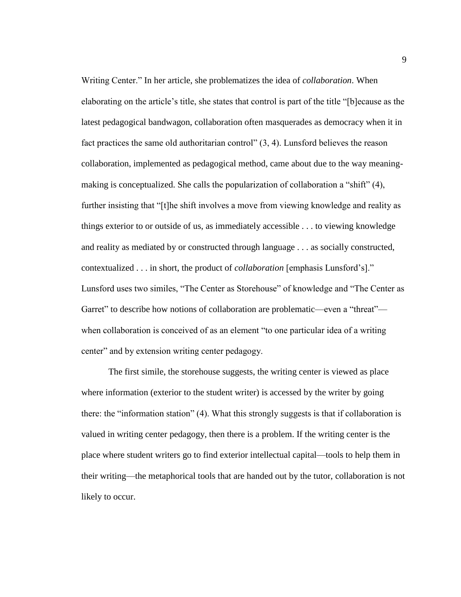Writing Center." In her article, she problematizes the idea of *collaboration*. When elaborating on the article's title, she states that control is part of the title "[b]ecause as the latest pedagogical bandwagon, collaboration often masquerades as democracy when it in fact practices the same old authoritarian control" (3, 4). Lunsford believes the reason collaboration, implemented as pedagogical method, came about due to the way meaningmaking is conceptualized. She calls the popularization of collaboration a "shift" (4), further insisting that "[t]he shift involves a move from viewing knowledge and reality as things exterior to or outside of us, as immediately accessible . . . to viewing knowledge and reality as mediated by or constructed through language . . . as socially constructed, contextualized . . . in short, the product of *collaboration* [emphasis Lunsford's]." Lunsford uses two similes, "The Center as Storehouse" of knowledge and "The Center as Garret" to describe how notions of collaboration are problematic—even a "threat" when collaboration is conceived of as an element "to one particular idea of a writing center" and by extension writing center pedagogy.

The first simile, the storehouse suggests, the writing center is viewed as place where information (exterior to the student writer) is accessed by the writer by going there: the "information station" (4). What this strongly suggests is that if collaboration is valued in writing center pedagogy, then there is a problem. If the writing center is the place where student writers go to find exterior intellectual capital—tools to help them in their writing—the metaphorical tools that are handed out by the tutor, collaboration is not likely to occur.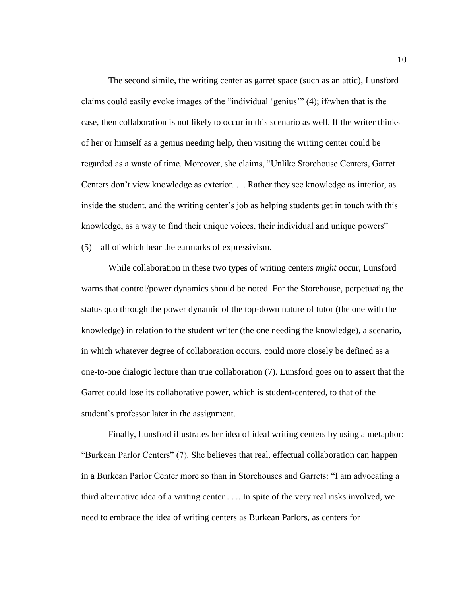The second simile, the writing center as garret space (such as an attic), Lunsford claims could easily evoke images of the "individual 'genius'" (4); if/when that is the case, then collaboration is not likely to occur in this scenario as well. If the writer thinks of her or himself as a genius needing help, then visiting the writing center could be regarded as a waste of time. Moreover, she claims, "Unlike Storehouse Centers, Garret Centers don't view knowledge as exterior. . .. Rather they see knowledge as interior, as inside the student, and the writing center's job as helping students get in touch with this knowledge, as a way to find their unique voices, their individual and unique powers" (5)—all of which bear the earmarks of expressivism.

While collaboration in these two types of writing centers *might* occur, Lunsford warns that control/power dynamics should be noted. For the Storehouse, perpetuating the status quo through the power dynamic of the top-down nature of tutor (the one with the knowledge) in relation to the student writer (the one needing the knowledge), a scenario, in which whatever degree of collaboration occurs, could more closely be defined as a one-to-one dialogic lecture than true collaboration (7). Lunsford goes on to assert that the Garret could lose its collaborative power, which is student-centered, to that of the student's professor later in the assignment.

Finally, Lunsford illustrates her idea of ideal writing centers by using a metaphor: "Burkean Parlor Centers" (7). She believes that real, effectual collaboration can happen in a Burkean Parlor Center more so than in Storehouses and Garrets: "I am advocating a third alternative idea of a writing center . . .. In spite of the very real risks involved, we need to embrace the idea of writing centers as Burkean Parlors, as centers for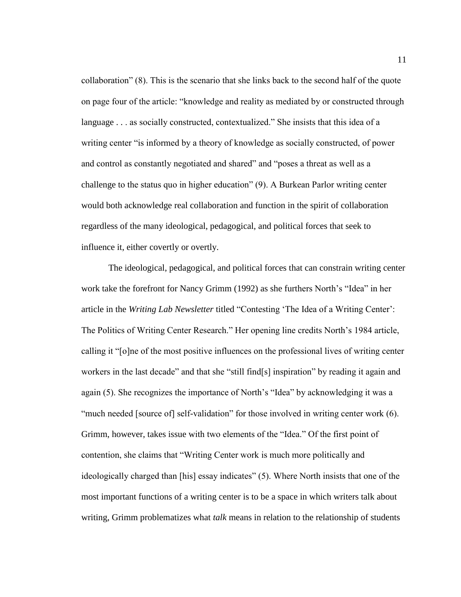collaboration" (8). This is the scenario that she links back to the second half of the quote on page four of the article: "knowledge and reality as mediated by or constructed through language . . . as socially constructed, contextualized." She insists that this idea of a writing center "is informed by a theory of knowledge as socially constructed, of power and control as constantly negotiated and shared" and "poses a threat as well as a challenge to the status quo in higher education" (9). A Burkean Parlor writing center would both acknowledge real collaboration and function in the spirit of collaboration regardless of the many ideological, pedagogical, and political forces that seek to influence it, either covertly or overtly.

The ideological, pedagogical, and political forces that can constrain writing center work take the forefront for Nancy Grimm (1992) as she furthers North's "Idea" in her article in the *Writing Lab Newsletter* titled "Contesting 'The Idea of a Writing Center': The Politics of Writing Center Research." Her opening line credits North's 1984 article, calling it "[o]ne of the most positive influences on the professional lives of writing center workers in the last decade" and that she "still find[s] inspiration" by reading it again and again (5). She recognizes the importance of North's "Idea" by acknowledging it was a "much needed [source of] self-validation" for those involved in writing center work (6). Grimm, however, takes issue with two elements of the "Idea." Of the first point of contention, she claims that "Writing Center work is much more politically and ideologically charged than [his] essay indicates" (5). Where North insists that one of the most important functions of a writing center is to be a space in which writers talk about writing, Grimm problematizes what *talk* means in relation to the relationship of students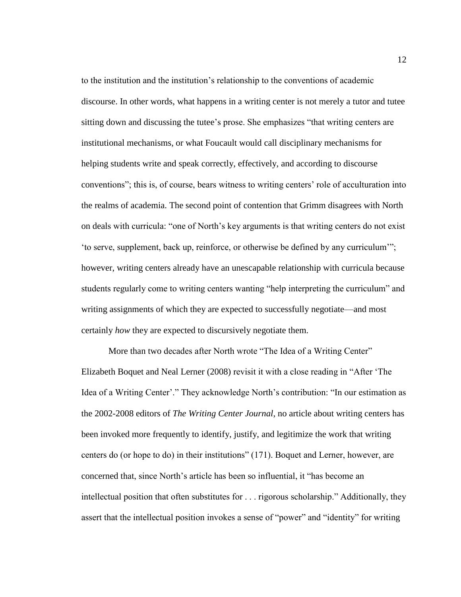to the institution and the institution's relationship to the conventions of academic discourse. In other words, what happens in a writing center is not merely a tutor and tutee sitting down and discussing the tutee's prose. She emphasizes "that writing centers are institutional mechanisms, or what Foucault would call disciplinary mechanisms for helping students write and speak correctly, effectively, and according to discourse conventions"; this is, of course, bears witness to writing centers' role of acculturation into the realms of academia. The second point of contention that Grimm disagrees with North on deals with curricula: "one of North's key arguments is that writing centers do not exist 'to serve, supplement, back up, reinforce, or otherwise be defined by any curriculum'"; however, writing centers already have an unescapable relationship with curricula because students regularly come to writing centers wanting "help interpreting the curriculum" and writing assignments of which they are expected to successfully negotiate—and most certainly *how* they are expected to discursively negotiate them.

More than two decades after North wrote "The Idea of a Writing Center" Elizabeth Boquet and Neal Lerner (2008) revisit it with a close reading in "After 'The Idea of a Writing Center'." They acknowledge North's contribution: "In our estimation as the 2002-2008 editors of *The Writing Center Journal*, no article about writing centers has been invoked more frequently to identify, justify, and legitimize the work that writing centers do (or hope to do) in their institutions" (171). Boquet and Lerner, however, are concerned that, since North's article has been so influential, it "has become an intellectual position that often substitutes for . . . rigorous scholarship." Additionally, they assert that the intellectual position invokes a sense of "power" and "identity" for writing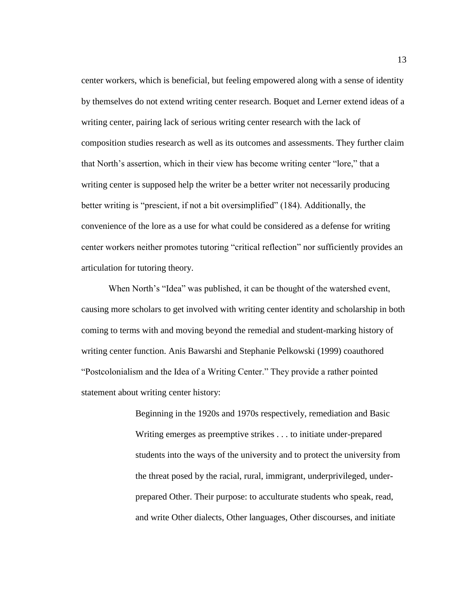center workers, which is beneficial, but feeling empowered along with a sense of identity by themselves do not extend writing center research. Boquet and Lerner extend ideas of a writing center, pairing lack of serious writing center research with the lack of composition studies research as well as its outcomes and assessments. They further claim that North's assertion, which in their view has become writing center "lore," that a writing center is supposed help the writer be a better writer not necessarily producing better writing is "prescient, if not a bit oversimplified" (184). Additionally, the convenience of the lore as a use for what could be considered as a defense for writing center workers neither promotes tutoring "critical reflection" nor sufficiently provides an articulation for tutoring theory.

When North's "Idea" was published, it can be thought of the watershed event, causing more scholars to get involved with writing center identity and scholarship in both coming to terms with and moving beyond the remedial and student-marking history of writing center function. Anis Bawarshi and Stephanie Pelkowski (1999) coauthored "Postcolonialism and the Idea of a Writing Center." They provide a rather pointed statement about writing center history:

> Beginning in the 1920s and 1970s respectively, remediation and Basic Writing emerges as preemptive strikes . . . to initiate under-prepared students into the ways of the university and to protect the university from the threat posed by the racial, rural, immigrant, underprivileged, underprepared Other. Their purpose: to acculturate students who speak, read, and write Other dialects, Other languages, Other discourses, and initiate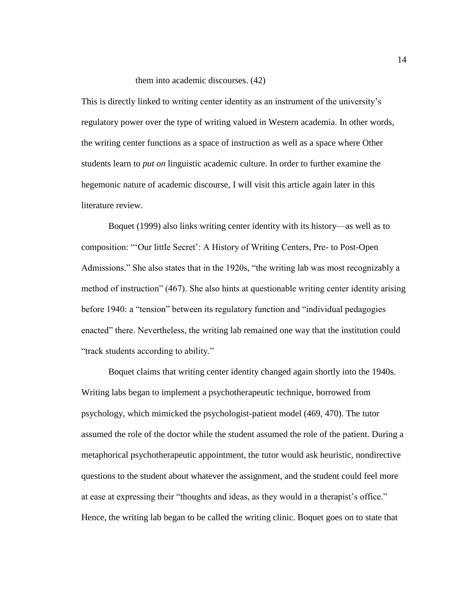### them into academic discourses. (42)

This is directly linked to writing center identity as an instrument of the university's regulatory power over the type of writing valued in Western academia. In other words, the writing center functions as a space of instruction as well as a space where Other students learn to *put on* linguistic academic culture. In order to further examine the hegemonic nature of academic discourse, I will visit this article again later in this literature review.

Boquet (1999) also links writing center identity with its history—as well as to composition: "'Our little Secret': A History of Writing Centers, Pre- to Post-Open Admissions." She also states that in the 1920s, "the writing lab was most recognizably a method of instruction" (467). She also hints at questionable writing center identity arising before 1940: a "tension" between its regulatory function and "individual pedagogies enacted" there. Nevertheless, the writing lab remained one way that the institution could "track students according to ability."

Boquet claims that writing center identity changed again shortly into the 1940s. Writing labs began to implement a psychotherapeutic technique, borrowed from psychology, which mimicked the psychologist-patient model (469, 470). The tutor assumed the role of the doctor while the student assumed the role of the patient. During a metaphorical psychotherapeutic appointment, the tutor would ask heuristic, nondirective questions to the student about whatever the assignment, and the student could feel more at ease at expressing their "thoughts and ideas, as they would in a therapist's office." Hence, the writing lab began to be called the writing clinic. Boquet goes on to state that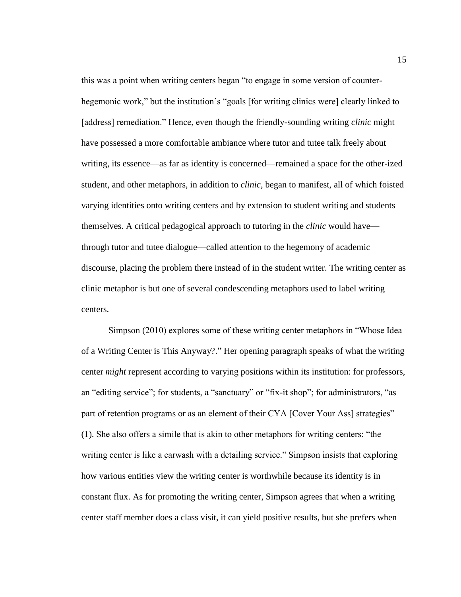this was a point when writing centers began "to engage in some version of counterhegemonic work," but the institution's "goals [for writing clinics were] clearly linked to [address] remediation." Hence, even though the friendly-sounding writing *clinic* might have possessed a more comfortable ambiance where tutor and tutee talk freely about writing, its essence—as far as identity is concerned—remained a space for the other-ized student, and other metaphors, in addition to *clinic*, began to manifest, all of which foisted varying identities onto writing centers and by extension to student writing and students themselves. A critical pedagogical approach to tutoring in the *clinic* would have through tutor and tutee dialogue—called attention to the hegemony of academic discourse, placing the problem there instead of in the student writer. The writing center as clinic metaphor is but one of several condescending metaphors used to label writing centers.

Simpson (2010) explores some of these writing center metaphors in "Whose Idea of a Writing Center is This Anyway?." Her opening paragraph speaks of what the writing center *might* represent according to varying positions within its institution: for professors, an "editing service"; for students, a "sanctuary" or "fix-it shop"; for administrators, "as part of retention programs or as an element of their CYA [Cover Your Ass] strategies" (1). She also offers a simile that is akin to other metaphors for writing centers: "the writing center is like a carwash with a detailing service." Simpson insists that exploring how various entities view the writing center is worthwhile because its identity is in constant flux. As for promoting the writing center, Simpson agrees that when a writing center staff member does a class visit, it can yield positive results, but she prefers when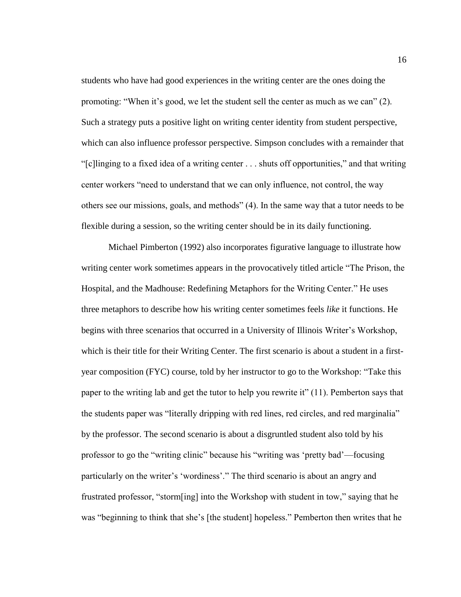students who have had good experiences in the writing center are the ones doing the promoting: "When it's good, we let the student sell the center as much as we can" (2). Such a strategy puts a positive light on writing center identity from student perspective, which can also influence professor perspective. Simpson concludes with a remainder that "[c]linging to a fixed idea of a writing center . . . shuts off opportunities," and that writing center workers "need to understand that we can only influence, not control, the way others see our missions, goals, and methods" (4). In the same way that a tutor needs to be flexible during a session, so the writing center should be in its daily functioning.

Michael Pimberton (1992) also incorporates figurative language to illustrate how writing center work sometimes appears in the provocatively titled article "The Prison, the Hospital, and the Madhouse: Redefining Metaphors for the Writing Center." He uses three metaphors to describe how his writing center sometimes feels *like* it functions. He begins with three scenarios that occurred in a University of Illinois Writer's Workshop, which is their title for their Writing Center. The first scenario is about a student in a firstyear composition (FYC) course, told by her instructor to go to the Workshop: "Take this paper to the writing lab and get the tutor to help you rewrite it" (11). Pemberton says that the students paper was "literally dripping with red lines, red circles, and red marginalia" by the professor. The second scenario is about a disgruntled student also told by his professor to go the "writing clinic" because his "writing was 'pretty bad'—focusing particularly on the writer's 'wordiness'." The third scenario is about an angry and frustrated professor, "storm[ing] into the Workshop with student in tow," saying that he was "beginning to think that she's [the student] hopeless." Pemberton then writes that he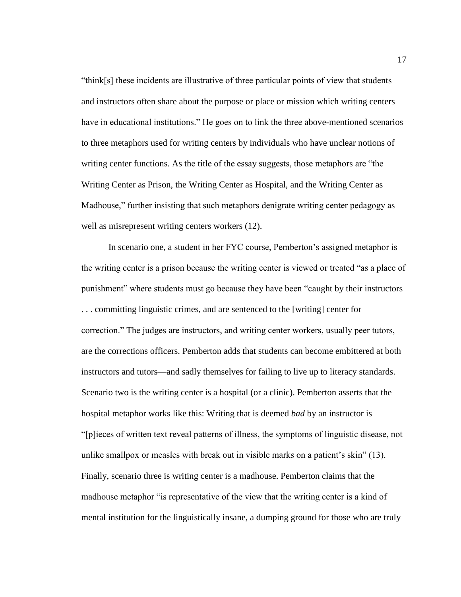"think[s] these incidents are illustrative of three particular points of view that students and instructors often share about the purpose or place or mission which writing centers have in educational institutions." He goes on to link the three above-mentioned scenarios to three metaphors used for writing centers by individuals who have unclear notions of writing center functions. As the title of the essay suggests, those metaphors are "the Writing Center as Prison, the Writing Center as Hospital, and the Writing Center as Madhouse," further insisting that such metaphors denigrate writing center pedagogy as well as misrepresent writing centers workers  $(12)$ .

In scenario one, a student in her FYC course, Pemberton's assigned metaphor is the writing center is a prison because the writing center is viewed or treated "as a place of punishment" where students must go because they have been "caught by their instructors . . . committing linguistic crimes, and are sentenced to the [writing] center for correction." The judges are instructors, and writing center workers, usually peer tutors, are the corrections officers. Pemberton adds that students can become embittered at both instructors and tutors—and sadly themselves for failing to live up to literacy standards. Scenario two is the writing center is a hospital (or a clinic). Pemberton asserts that the hospital metaphor works like this: Writing that is deemed *bad* by an instructor is "[p]ieces of written text reveal patterns of illness, the symptoms of linguistic disease, not unlike smallpox or measles with break out in visible marks on a patient's skin" (13). Finally, scenario three is writing center is a madhouse. Pemberton claims that the madhouse metaphor "is representative of the view that the writing center is a kind of mental institution for the linguistically insane, a dumping ground for those who are truly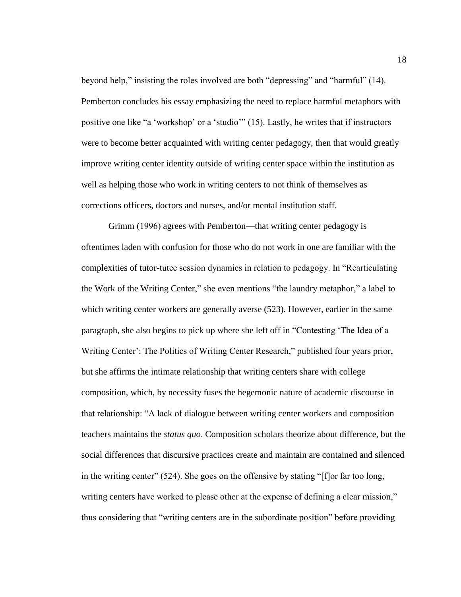beyond help," insisting the roles involved are both "depressing" and "harmful" (14). Pemberton concludes his essay emphasizing the need to replace harmful metaphors with positive one like "a 'workshop' or a 'studio'" (15). Lastly, he writes that if instructors were to become better acquainted with writing center pedagogy, then that would greatly improve writing center identity outside of writing center space within the institution as well as helping those who work in writing centers to not think of themselves as corrections officers, doctors and nurses, and/or mental institution staff.

Grimm (1996) agrees with Pemberton—that writing center pedagogy is oftentimes laden with confusion for those who do not work in one are familiar with the complexities of tutor-tutee session dynamics in relation to pedagogy. In "Rearticulating the Work of the Writing Center," she even mentions "the laundry metaphor," a label to which writing center workers are generally averse (523). However, earlier in the same paragraph, she also begins to pick up where she left off in "Contesting 'The Idea of a Writing Center': The Politics of Writing Center Research," published four years prior, but she affirms the intimate relationship that writing centers share with college composition, which, by necessity fuses the hegemonic nature of academic discourse in that relationship: "A lack of dialogue between writing center workers and composition teachers maintains the *status quo*. Composition scholars theorize about difference, but the social differences that discursive practices create and maintain are contained and silenced in the writing center" (524). She goes on the offensive by stating "[f]or far too long, writing centers have worked to please other at the expense of defining a clear mission," thus considering that "writing centers are in the subordinate position" before providing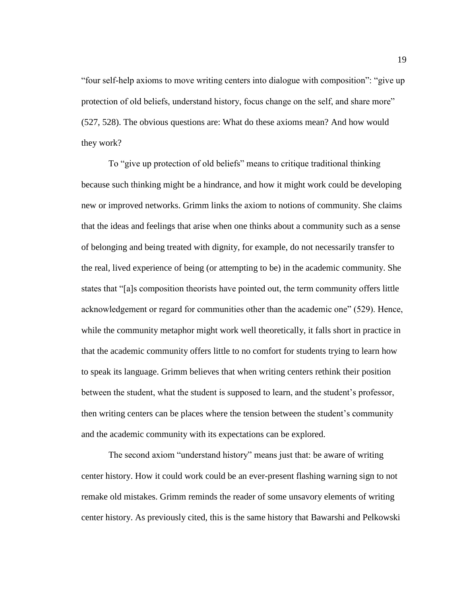"four self-help axioms to move writing centers into dialogue with composition": "give up protection of old beliefs, understand history, focus change on the self, and share more" (527, 528). The obvious questions are: What do these axioms mean? And how would they work?

To "give up protection of old beliefs" means to critique traditional thinking because such thinking might be a hindrance, and how it might work could be developing new or improved networks. Grimm links the axiom to notions of community. She claims that the ideas and feelings that arise when one thinks about a community such as a sense of belonging and being treated with dignity, for example, do not necessarily transfer to the real, lived experience of being (or attempting to be) in the academic community. She states that "[a]s composition theorists have pointed out, the term community offers little acknowledgement or regard for communities other than the academic one" (529). Hence, while the community metaphor might work well theoretically, it falls short in practice in that the academic community offers little to no comfort for students trying to learn how to speak its language. Grimm believes that when writing centers rethink their position between the student, what the student is supposed to learn, and the student's professor, then writing centers can be places where the tension between the student's community and the academic community with its expectations can be explored.

The second axiom "understand history" means just that: be aware of writing center history. How it could work could be an ever-present flashing warning sign to not remake old mistakes. Grimm reminds the reader of some unsavory elements of writing center history. As previously cited, this is the same history that Bawarshi and Pelkowski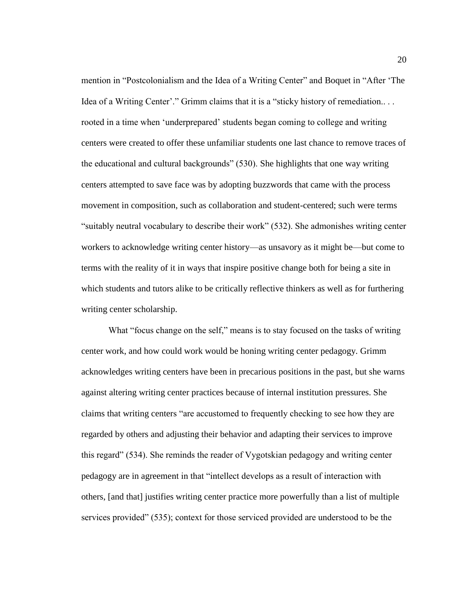mention in "Postcolonialism and the Idea of a Writing Center" and Boquet in "After 'The Idea of a Writing Center'." Grimm claims that it is a "sticky history of remediation.. . . rooted in a time when 'underprepared' students began coming to college and writing centers were created to offer these unfamiliar students one last chance to remove traces of the educational and cultural backgrounds" (530). She highlights that one way writing centers attempted to save face was by adopting buzzwords that came with the process movement in composition, such as collaboration and student-centered; such were terms "suitably neutral vocabulary to describe their work" (532). She admonishes writing center workers to acknowledge writing center history—as unsavory as it might be—but come to terms with the reality of it in ways that inspire positive change both for being a site in which students and tutors alike to be critically reflective thinkers as well as for furthering writing center scholarship.

What "focus change on the self," means is to stay focused on the tasks of writing center work, and how could work would be honing writing center pedagogy. Grimm acknowledges writing centers have been in precarious positions in the past, but she warns against altering writing center practices because of internal institution pressures. She claims that writing centers "are accustomed to frequently checking to see how they are regarded by others and adjusting their behavior and adapting their services to improve this regard" (534). She reminds the reader of Vygotskian pedagogy and writing center pedagogy are in agreement in that "intellect develops as a result of interaction with others, [and that] justifies writing center practice more powerfully than a list of multiple services provided" (535); context for those serviced provided are understood to be the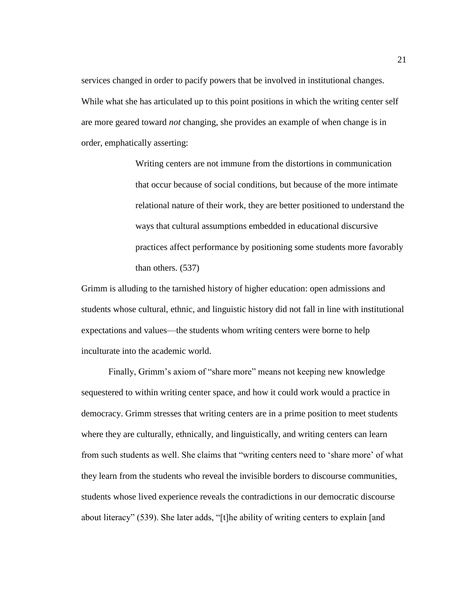services changed in order to pacify powers that be involved in institutional changes. While what she has articulated up to this point positions in which the writing center self are more geared toward *not* changing, she provides an example of when change is in order, emphatically asserting:

> Writing centers are not immune from the distortions in communication that occur because of social conditions, but because of the more intimate relational nature of their work, they are better positioned to understand the ways that cultural assumptions embedded in educational discursive practices affect performance by positioning some students more favorably than others. (537)

Grimm is alluding to the tarnished history of higher education: open admissions and students whose cultural, ethnic, and linguistic history did not fall in line with institutional expectations and values—the students whom writing centers were borne to help inculturate into the academic world.

Finally, Grimm's axiom of "share more" means not keeping new knowledge sequestered to within writing center space, and how it could work would a practice in democracy. Grimm stresses that writing centers are in a prime position to meet students where they are culturally, ethnically, and linguistically, and writing centers can learn from such students as well. She claims that "writing centers need to 'share more' of what they learn from the students who reveal the invisible borders to discourse communities, students whose lived experience reveals the contradictions in our democratic discourse about literacy" (539). She later adds, "[t]he ability of writing centers to explain [and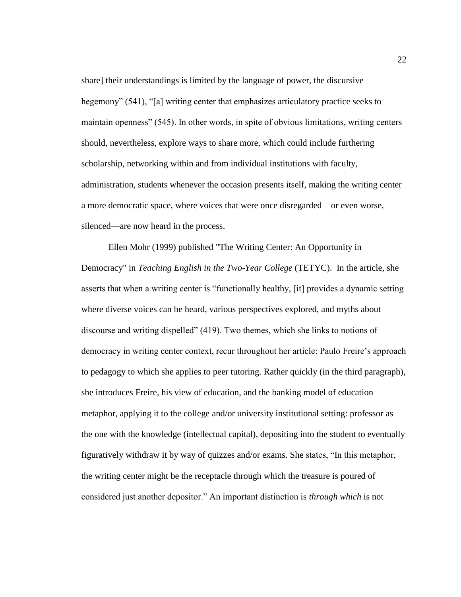share] their understandings is limited by the language of power, the discursive hegemony" (541), "[a] writing center that emphasizes articulatory practice seeks to maintain openness" (545). In other words, in spite of obvious limitations, writing centers should, nevertheless, explore ways to share more, which could include furthering scholarship, networking within and from individual institutions with faculty, administration, students whenever the occasion presents itself, making the writing center a more democratic space, where voices that were once disregarded—or even worse, silenced—are now heard in the process.

Ellen Mohr (1999) published "The Writing Center: An Opportunity in Democracy" in *Teaching English in the Two-Year College* (TETYC). In the article, she asserts that when a writing center is "functionally healthy, [it] provides a dynamic setting where diverse voices can be heard, various perspectives explored, and myths about discourse and writing dispelled" (419). Two themes, which she links to notions of democracy in writing center context, recur throughout her article: Paulo Freire's approach to pedagogy to which she applies to peer tutoring. Rather quickly (in the third paragraph), she introduces Freire, his view of education, and the banking model of education metaphor, applying it to the college and/or university institutional setting: professor as the one with the knowledge (intellectual capital), depositing into the student to eventually figuratively withdraw it by way of quizzes and/or exams. She states, "In this metaphor, the writing center might be the receptacle through which the treasure is poured of considered just another depositor." An important distinction is *through which* is not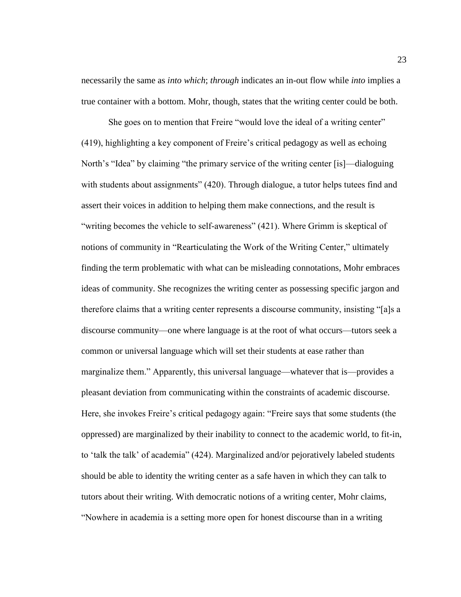necessarily the same as *into which*; *through* indicates an in-out flow while *into* implies a true container with a bottom. Mohr, though, states that the writing center could be both.

She goes on to mention that Freire "would love the ideal of a writing center" (419), highlighting a key component of Freire's critical pedagogy as well as echoing North's "Idea" by claiming "the primary service of the writing center [is]—dialoguing with students about assignments" (420). Through dialogue, a tutor helps tutees find and assert their voices in addition to helping them make connections, and the result is "writing becomes the vehicle to self-awareness" (421). Where Grimm is skeptical of notions of community in "Rearticulating the Work of the Writing Center," ultimately finding the term problematic with what can be misleading connotations, Mohr embraces ideas of community. She recognizes the writing center as possessing specific jargon and therefore claims that a writing center represents a discourse community, insisting "[a]s a discourse community—one where language is at the root of what occurs—tutors seek a common or universal language which will set their students at ease rather than marginalize them." Apparently, this universal language—whatever that is—provides a pleasant deviation from communicating within the constraints of academic discourse. Here, she invokes Freire's critical pedagogy again: "Freire says that some students (the oppressed) are marginalized by their inability to connect to the academic world, to fit-in, to 'talk the talk' of academia" (424). Marginalized and/or pejoratively labeled students should be able to identity the writing center as a safe haven in which they can talk to tutors about their writing. With democratic notions of a writing center, Mohr claims, "Nowhere in academia is a setting more open for honest discourse than in a writing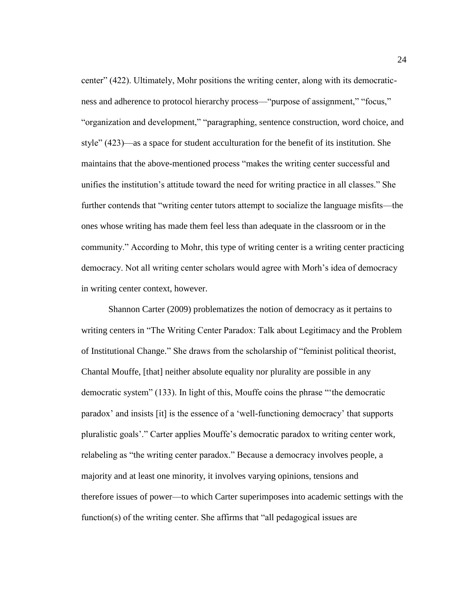center" (422). Ultimately, Mohr positions the writing center, along with its democraticness and adherence to protocol hierarchy process—"purpose of assignment," "focus," "organization and development," "paragraphing, sentence construction, word choice, and style" (423)—as a space for student acculturation for the benefit of its institution. She maintains that the above-mentioned process "makes the writing center successful and unifies the institution's attitude toward the need for writing practice in all classes." She further contends that "writing center tutors attempt to socialize the language misfits—the ones whose writing has made them feel less than adequate in the classroom or in the community." According to Mohr, this type of writing center is a writing center practicing democracy. Not all writing center scholars would agree with Morh's idea of democracy in writing center context, however.

Shannon Carter (2009) problematizes the notion of democracy as it pertains to writing centers in "The Writing Center Paradox: Talk about Legitimacy and the Problem of Institutional Change." She draws from the scholarship of "feminist political theorist, Chantal Mouffe, [that] neither absolute equality nor plurality are possible in any democratic system" (133). In light of this, Mouffe coins the phrase "'the democratic paradox' and insists [it] is the essence of a 'well-functioning democracy' that supports pluralistic goals'." Carter applies Mouffe's democratic paradox to writing center work, relabeling as "the writing center paradox." Because a democracy involves people, a majority and at least one minority, it involves varying opinions, tensions and therefore issues of power—to which Carter superimposes into academic settings with the function(s) of the writing center. She affirms that "all pedagogical issues are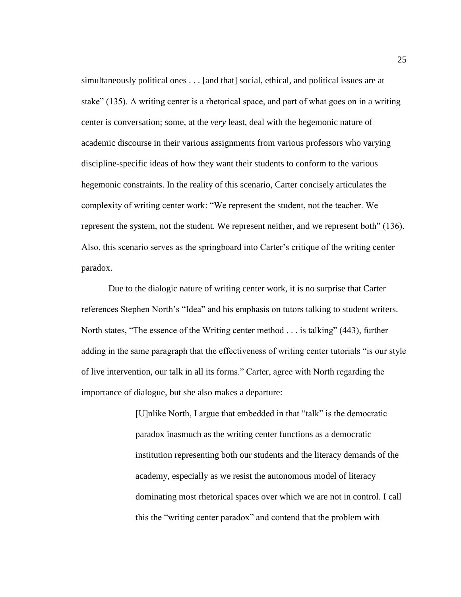simultaneously political ones . . . [and that] social, ethical, and political issues are at stake" (135). A writing center is a rhetorical space, and part of what goes on in a writing center is conversation; some, at the *very* least, deal with the hegemonic nature of academic discourse in their various assignments from various professors who varying discipline-specific ideas of how they want their students to conform to the various hegemonic constraints. In the reality of this scenario, Carter concisely articulates the complexity of writing center work: "We represent the student, not the teacher. We represent the system, not the student. We represent neither, and we represent both" (136). Also, this scenario serves as the springboard into Carter's critique of the writing center paradox.

Due to the dialogic nature of writing center work, it is no surprise that Carter references Stephen North's "Idea" and his emphasis on tutors talking to student writers. North states, "The essence of the Writing center method . . . is talking" (443), further adding in the same paragraph that the effectiveness of writing center tutorials "is our style of live intervention, our talk in all its forms." Carter, agree with North regarding the importance of dialogue, but she also makes a departure:

> [U]nlike North, I argue that embedded in that "talk" is the democratic paradox inasmuch as the writing center functions as a democratic institution representing both our students and the literacy demands of the academy, especially as we resist the autonomous model of literacy dominating most rhetorical spaces over which we are not in control. I call this the "writing center paradox" and contend that the problem with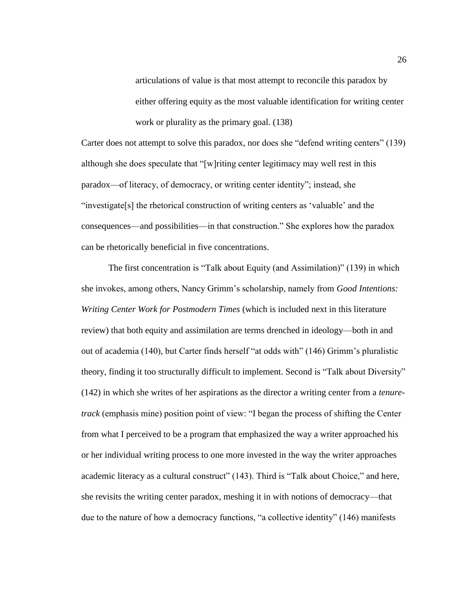articulations of value is that most attempt to reconcile this paradox by either offering equity as the most valuable identification for writing center work or plurality as the primary goal. (138)

Carter does not attempt to solve this paradox, nor does she "defend writing centers" (139) although she does speculate that "[w]riting center legitimacy may well rest in this paradox—of literacy, of democracy, or writing center identity"; instead, she "investigate[s] the rhetorical construction of writing centers as 'valuable' and the consequences—and possibilities—in that construction." She explores how the paradox can be rhetorically beneficial in five concentrations.

The first concentration is "Talk about Equity (and Assimilation)" (139) in which she invokes, among others, Nancy Grimm's scholarship, namely from *Good Intentions: Writing Center Work for Postmodern Times* (which is included next in this literature review) that both equity and assimilation are terms drenched in ideology—both in and out of academia (140), but Carter finds herself "at odds with" (146) Grimm's pluralistic theory, finding it too structurally difficult to implement. Second is "Talk about Diversity" (142) in which she writes of her aspirations as the director a writing center from a *tenuretrack* (emphasis mine) position point of view: "I began the process of shifting the Center from what I perceived to be a program that emphasized the way a writer approached his or her individual writing process to one more invested in the way the writer approaches academic literacy as a cultural construct" (143). Third is "Talk about Choice," and here, she revisits the writing center paradox, meshing it in with notions of democracy—that due to the nature of how a democracy functions, "a collective identity" (146) manifests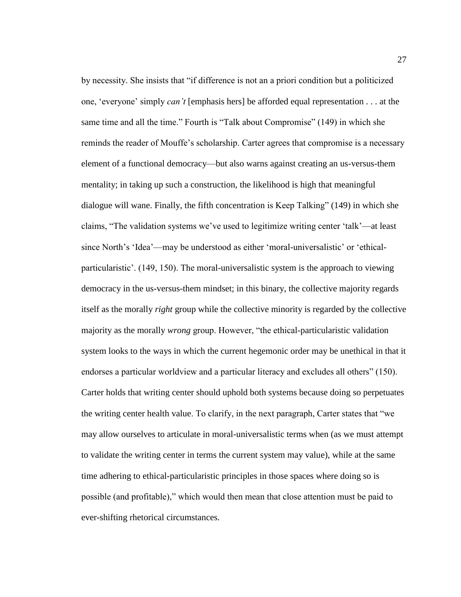by necessity. She insists that "if difference is not an a priori condition but a politicized one, 'everyone' simply *can't* [emphasis hers] be afforded equal representation . . . at the same time and all the time." Fourth is "Talk about Compromise" (149) in which she reminds the reader of Mouffe's scholarship. Carter agrees that compromise is a necessary element of a functional democracy—but also warns against creating an us-versus-them mentality; in taking up such a construction, the likelihood is high that meaningful dialogue will wane. Finally, the fifth concentration is Keep Talking" (149) in which she claims, "The validation systems we've used to legitimize writing center 'talk'—at least since North's 'Idea'—may be understood as either 'moral-universalistic' or 'ethicalparticularistic'. (149, 150). The moral-universalistic system is the approach to viewing democracy in the us-versus-them mindset; in this binary, the collective majority regards itself as the morally *right* group while the collective minority is regarded by the collective majority as the morally *wrong* group. However, "the ethical-particularistic validation system looks to the ways in which the current hegemonic order may be unethical in that it endorses a particular worldview and a particular literacy and excludes all others" (150). Carter holds that writing center should uphold both systems because doing so perpetuates the writing center health value. To clarify, in the next paragraph, Carter states that "we may allow ourselves to articulate in moral-universalistic terms when (as we must attempt to validate the writing center in terms the current system may value), while at the same time adhering to ethical-particularistic principles in those spaces where doing so is possible (and profitable)," which would then mean that close attention must be paid to ever-shifting rhetorical circumstances.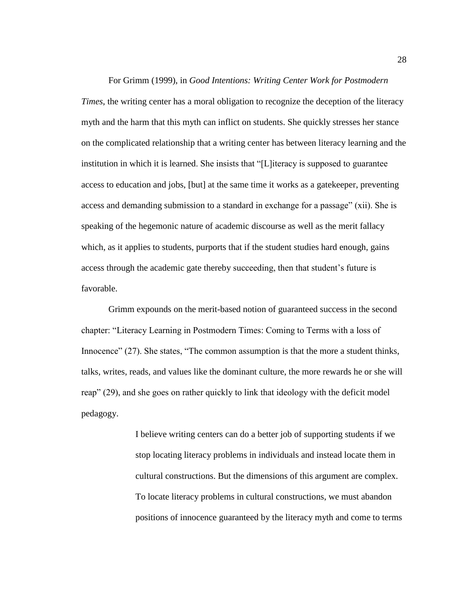For Grimm (1999), in *Good Intentions: Writing Center Work for Postmodern Times*, the writing center has a moral obligation to recognize the deception of the literacy myth and the harm that this myth can inflict on students. She quickly stresses her stance on the complicated relationship that a writing center has between literacy learning and the institution in which it is learned. She insists that "[L]iteracy is supposed to guarantee access to education and jobs, [but] at the same time it works as a gatekeeper, preventing access and demanding submission to a standard in exchange for a passage" (xii). She is speaking of the hegemonic nature of academic discourse as well as the merit fallacy which, as it applies to students, purports that if the student studies hard enough, gains access through the academic gate thereby succeeding, then that student's future is favorable.

Grimm expounds on the merit-based notion of guaranteed success in the second chapter: "Literacy Learning in Postmodern Times: Coming to Terms with a loss of Innocence" (27). She states, "The common assumption is that the more a student thinks, talks, writes, reads, and values like the dominant culture, the more rewards he or she will reap" (29), and she goes on rather quickly to link that ideology with the deficit model pedagogy.

> I believe writing centers can do a better job of supporting students if we stop locating literacy problems in individuals and instead locate them in cultural constructions. But the dimensions of this argument are complex. To locate literacy problems in cultural constructions, we must abandon positions of innocence guaranteed by the literacy myth and come to terms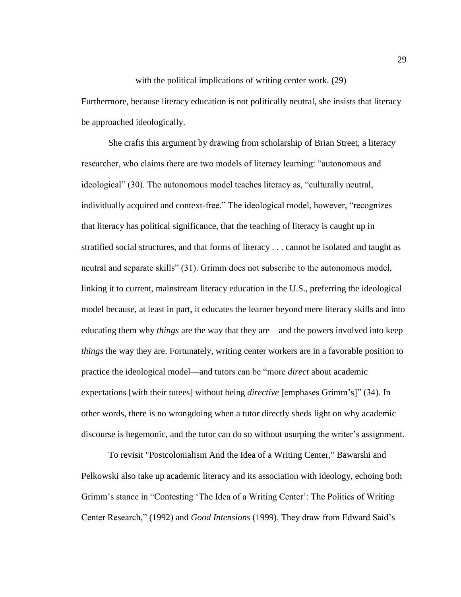# with the political implications of writing center work. (29) Furthermore, because literacy education is not politically neutral, she insists that literacy be approached ideologically.

She crafts this argument by drawing from scholarship of Brian Street, a literacy researcher, who claims there are two models of literacy learning: "autonomous and ideological" (30). The autonomous model teaches literacy as, "culturally neutral, individually acquired and context-free." The ideological model, however, "recognizes that literacy has political significance, that the teaching of literacy is caught up in stratified social structures, and that forms of literacy . . . cannot be isolated and taught as neutral and separate skills" (31). Grimm does not subscribe to the autonomous model, linking it to current, mainstream literacy education in the U.S., preferring the ideological model because, at least in part, it educates the learner beyond mere literacy skills and into educating them why *things* are the way that they are—and the powers involved into keep *things* the way they are. Fortunately, writing center workers are in a favorable position to practice the ideological model—and tutors can be "more *direct* about academic expectations [with their tutees] without being *directive* [emphases Grimm's]" (34). In other words, there is no wrongdoing when a tutor directly sheds light on why academic discourse is hegemonic, and the tutor can do so without usurping the writer's assignment.

To revisit "Postcolonialism And the Idea of a Writing Center," Bawarshi and Pelkowski also take up academic literacy and its association with ideology, echoing both Grimm's stance in "Contesting 'The Idea of a Writing Center': The Politics of Writing Center Research," (1992) and *Good Intensions* (1999). They draw from Edward Said's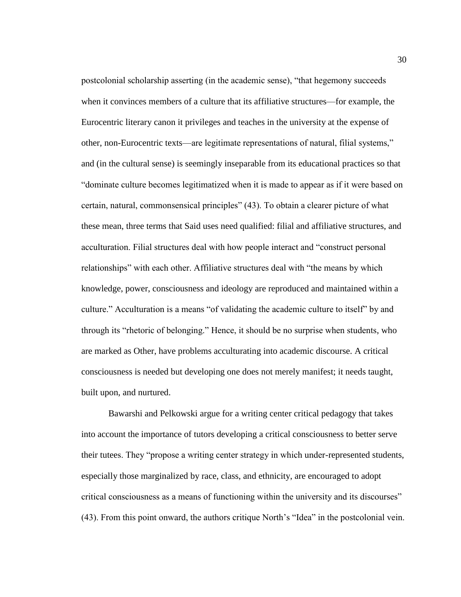postcolonial scholarship asserting (in the academic sense), "that hegemony succeeds when it convinces members of a culture that its affiliative structures—for example, the Eurocentric literary canon it privileges and teaches in the university at the expense of other, non-Eurocentric texts—are legitimate representations of natural, filial systems," and (in the cultural sense) is seemingly inseparable from its educational practices so that "dominate culture becomes legitimatized when it is made to appear as if it were based on certain, natural, commonsensical principles" (43). To obtain a clearer picture of what these mean, three terms that Said uses need qualified: filial and affiliative structures, and acculturation. Filial structures deal with how people interact and "construct personal relationships" with each other. Affiliative structures deal with "the means by which knowledge, power, consciousness and ideology are reproduced and maintained within a culture." Acculturation is a means "of validating the academic culture to itself" by and through its "rhetoric of belonging." Hence, it should be no surprise when students, who are marked as Other, have problems acculturating into academic discourse. A critical consciousness is needed but developing one does not merely manifest; it needs taught, built upon, and nurtured.

Bawarshi and Pelkowski argue for a writing center critical pedagogy that takes into account the importance of tutors developing a critical consciousness to better serve their tutees. They "propose a writing center strategy in which under-represented students, especially those marginalized by race, class, and ethnicity, are encouraged to adopt critical consciousness as a means of functioning within the university and its discourses" (43). From this point onward, the authors critique North's "Idea" in the postcolonial vein.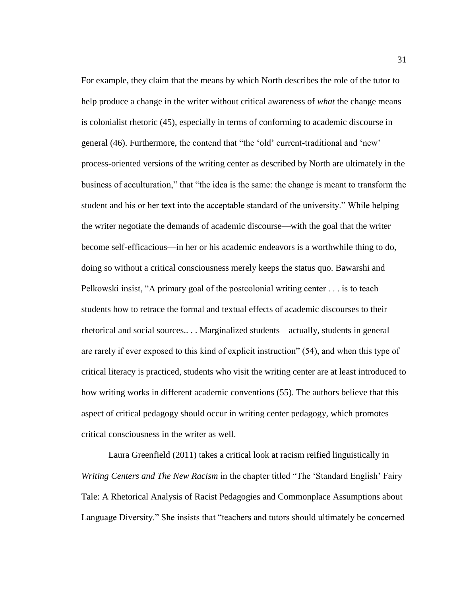For example, they claim that the means by which North describes the role of the tutor to help produce a change in the writer without critical awareness of *what* the change means is colonialist rhetoric (45), especially in terms of conforming to academic discourse in general (46). Furthermore, the contend that "the 'old' current-traditional and 'new' process-oriented versions of the writing center as described by North are ultimately in the business of acculturation," that "the idea is the same: the change is meant to transform the student and his or her text into the acceptable standard of the university." While helping the writer negotiate the demands of academic discourse—with the goal that the writer become self-efficacious—in her or his academic endeavors is a worthwhile thing to do, doing so without a critical consciousness merely keeps the status quo. Bawarshi and Pelkowski insist, "A primary goal of the postcolonial writing center . . . is to teach students how to retrace the formal and textual effects of academic discourses to their rhetorical and social sources.. . . Marginalized students—actually, students in general are rarely if ever exposed to this kind of explicit instruction" (54), and when this type of critical literacy is practiced, students who visit the writing center are at least introduced to how writing works in different academic conventions (55). The authors believe that this aspect of critical pedagogy should occur in writing center pedagogy, which promotes critical consciousness in the writer as well.

Laura Greenfield (2011) takes a critical look at racism reified linguistically in *Writing Centers and The New Racism* in the chapter titled "The 'Standard English' Fairy Tale: A Rhetorical Analysis of Racist Pedagogies and Commonplace Assumptions about Language Diversity." She insists that "teachers and tutors should ultimately be concerned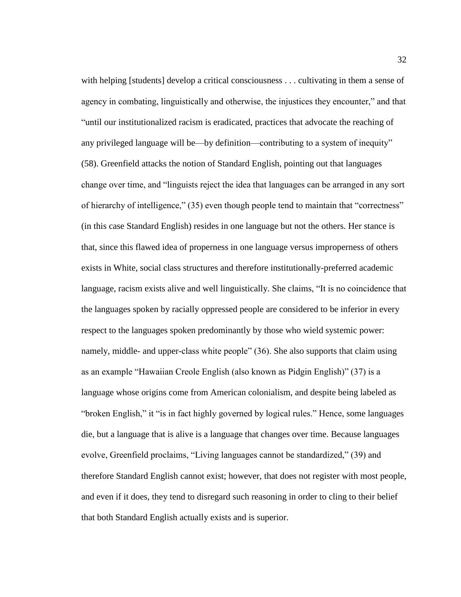with helping [students] develop a critical consciousness . . . cultivating in them a sense of agency in combating, linguistically and otherwise, the injustices they encounter," and that "until our institutionalized racism is eradicated, practices that advocate the reaching of any privileged language will be—by definition—contributing to a system of inequity" (58). Greenfield attacks the notion of Standard English, pointing out that languages change over time, and "linguists reject the idea that languages can be arranged in any sort of hierarchy of intelligence," (35) even though people tend to maintain that "correctness" (in this case Standard English) resides in one language but not the others. Her stance is that, since this flawed idea of properness in one language versus improperness of others exists in White, social class structures and therefore institutionally-preferred academic language, racism exists alive and well linguistically. She claims, "It is no coincidence that the languages spoken by racially oppressed people are considered to be inferior in every respect to the languages spoken predominantly by those who wield systemic power: namely, middle- and upper-class white people" (36). She also supports that claim using as an example "Hawaiian Creole English (also known as Pidgin English)" (37) is a language whose origins come from American colonialism, and despite being labeled as "broken English," it "is in fact highly governed by logical rules." Hence, some languages die, but a language that is alive is a language that changes over time. Because languages evolve, Greenfield proclaims, "Living languages cannot be standardized," (39) and therefore Standard English cannot exist; however, that does not register with most people, and even if it does, they tend to disregard such reasoning in order to cling to their belief that both Standard English actually exists and is superior.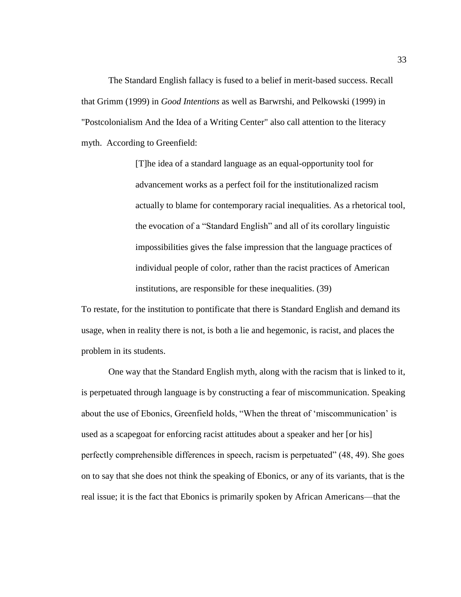The Standard English fallacy is fused to a belief in merit-based success. Recall that Grimm (1999) in *Good Intentions* as well as Barwrshi, and Pelkowski (1999) in "Postcolonialism And the Idea of a Writing Center" also call attention to the literacy myth. According to Greenfield:

> [T]he idea of a standard language as an equal-opportunity tool for advancement works as a perfect foil for the institutionalized racism actually to blame for contemporary racial inequalities. As a rhetorical tool, the evocation of a "Standard English" and all of its corollary linguistic impossibilities gives the false impression that the language practices of individual people of color, rather than the racist practices of American institutions, are responsible for these inequalities. (39)

To restate, for the institution to pontificate that there is Standard English and demand its usage, when in reality there is not, is both a lie and hegemonic, is racist, and places the problem in its students.

One way that the Standard English myth, along with the racism that is linked to it, is perpetuated through language is by constructing a fear of miscommunication. Speaking about the use of Ebonics, Greenfield holds, "When the threat of 'miscommunication' is used as a scapegoat for enforcing racist attitudes about a speaker and her [or his] perfectly comprehensible differences in speech, racism is perpetuated" (48, 49). She goes on to say that she does not think the speaking of Ebonics, or any of its variants, that is the real issue; it is the fact that Ebonics is primarily spoken by African Americans—that the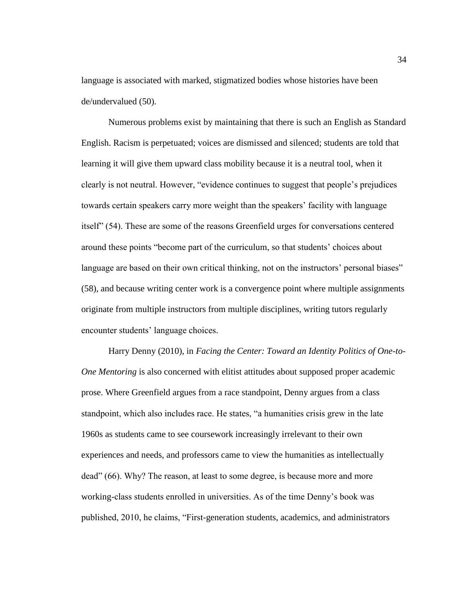language is associated with marked, stigmatized bodies whose histories have been de/undervalued (50).

Numerous problems exist by maintaining that there is such an English as Standard English. Racism is perpetuated; voices are dismissed and silenced; students are told that learning it will give them upward class mobility because it is a neutral tool, when it clearly is not neutral. However, "evidence continues to suggest that people's prejudices towards certain speakers carry more weight than the speakers' facility with language itself" (54). These are some of the reasons Greenfield urges for conversations centered around these points "become part of the curriculum, so that students' choices about language are based on their own critical thinking, not on the instructors' personal biases" (58), and because writing center work is a convergence point where multiple assignments originate from multiple instructors from multiple disciplines, writing tutors regularly encounter students' language choices.

Harry Denny (2010), in *Facing the Center: Toward an Identity Politics of One-to-One Mentoring* is also concerned with elitist attitudes about supposed proper academic prose. Where Greenfield argues from a race standpoint, Denny argues from a class standpoint, which also includes race. He states, "a humanities crisis grew in the late 1960s as students came to see coursework increasingly irrelevant to their own experiences and needs, and professors came to view the humanities as intellectually dead" (66). Why? The reason, at least to some degree, is because more and more working-class students enrolled in universities. As of the time Denny's book was published, 2010, he claims, "First-generation students, academics, and administrators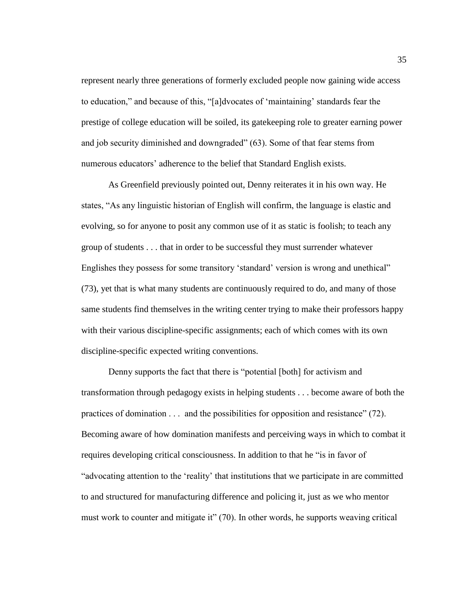represent nearly three generations of formerly excluded people now gaining wide access to education," and because of this, "[a]dvocates of 'maintaining' standards fear the prestige of college education will be soiled, its gatekeeping role to greater earning power and job security diminished and downgraded" (63). Some of that fear stems from numerous educators' adherence to the belief that Standard English exists.

As Greenfield previously pointed out, Denny reiterates it in his own way. He states, "As any linguistic historian of English will confirm, the language is elastic and evolving, so for anyone to posit any common use of it as static is foolish; to teach any group of students . . . that in order to be successful they must surrender whatever Englishes they possess for some transitory 'standard' version is wrong and unethical" (73), yet that is what many students are continuously required to do, and many of those same students find themselves in the writing center trying to make their professors happy with their various discipline-specific assignments; each of which comes with its own discipline-specific expected writing conventions.

Denny supports the fact that there is "potential [both] for activism and transformation through pedagogy exists in helping students . . . become aware of both the practices of domination . . . and the possibilities for opposition and resistance" (72). Becoming aware of how domination manifests and perceiving ways in which to combat it requires developing critical consciousness. In addition to that he "is in favor of "advocating attention to the 'reality' that institutions that we participate in are committed to and structured for manufacturing difference and policing it, just as we who mentor must work to counter and mitigate it" (70). In other words, he supports weaving critical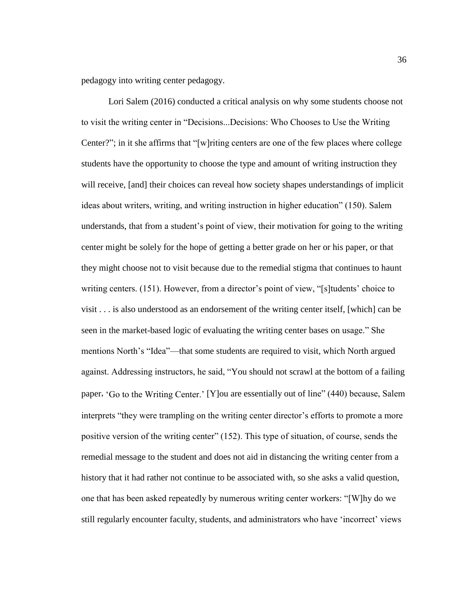pedagogy into writing center pedagogy.

Lori Salem (2016) conducted a critical analysis on why some students choose not to visit the writing center in "Decisions...Decisions: Who Chooses to Use the Writing Center?"; in it she affirms that "[w]riting centers are one of the few places where college students have the opportunity to choose the type and amount of writing instruction they will receive, [and] their choices can reveal how society shapes understandings of implicit ideas about writers, writing, and writing instruction in higher education" (150). Salem understands, that from a student's point of view, their motivation for going to the writing center might be solely for the hope of getting a better grade on her or his paper, or that they might choose not to visit because due to the remedial stigma that continues to haunt writing centers. (151). However, from a director's point of view, "[s]tudents' choice to visit . . . is also understood as an endorsement of the writing center itself, [which] can be seen in the market-based logic of evaluating the writing center bases on usage." She mentions North's "Idea"—that some students are required to visit, which North argued against. Addressing instructors, he said, "You should not scrawl at the bottom of a failing paper, 'Go to the Writing Center.' [Y]ou are essentially out of line" (440) because, Salem interprets "they were trampling on the writing center director's efforts to promote a more positive version of the writing center" (152). This type of situation, of course, sends the remedial message to the student and does not aid in distancing the writing center from a history that it had rather not continue to be associated with, so she asks a valid question, one that has been asked repeatedly by numerous writing center workers: "[W]hy do we still regularly encounter faculty, students, and administrators who have 'incorrect' views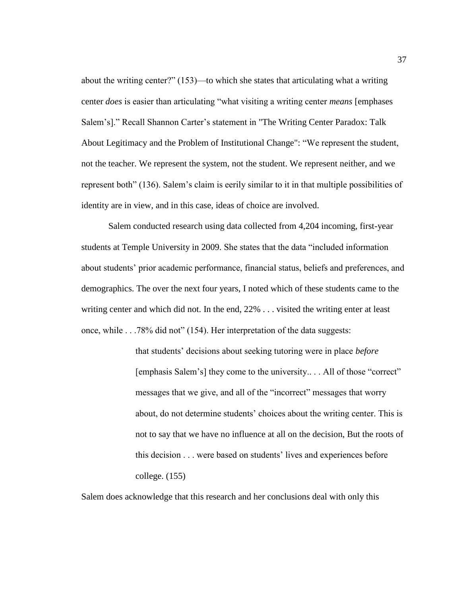about the writing center?" (153)—to which she states that articulating what a writing center *does* is easier than articulating "what visiting a writing center *means* [emphases Salem's]." Recall Shannon Carter's statement in "The Writing Center Paradox: Talk About Legitimacy and the Problem of Institutional Change": "We represent the student, not the teacher. We represent the system, not the student. We represent neither, and we represent both" (136). Salem's claim is eerily similar to it in that multiple possibilities of identity are in view, and in this case, ideas of choice are involved.

Salem conducted research using data collected from 4,204 incoming, first-year students at Temple University in 2009. She states that the data "included information about students' prior academic performance, financial status, beliefs and preferences, and demographics. The over the next four years, I noted which of these students came to the writing center and which did not. In the end, 22% . . . visited the writing enter at least once, while . . .78% did not" (154). Her interpretation of the data suggests:

> that students' decisions about seeking tutoring were in place *before* [emphasis Salem's] they come to the university.. . . All of those "correct" messages that we give, and all of the "incorrect" messages that worry about, do not determine students' choices about the writing center. This is not to say that we have no influence at all on the decision, But the roots of this decision . . . were based on students' lives and experiences before college. (155)

Salem does acknowledge that this research and her conclusions deal with only this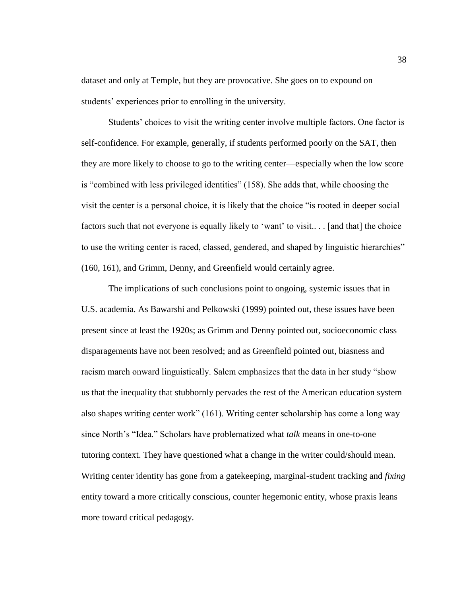dataset and only at Temple, but they are provocative. She goes on to expound on students' experiences prior to enrolling in the university.

Students' choices to visit the writing center involve multiple factors. One factor is self-confidence. For example, generally, if students performed poorly on the SAT, then they are more likely to choose to go to the writing center—especially when the low score is "combined with less privileged identities" (158). She adds that, while choosing the visit the center is a personal choice, it is likely that the choice "is rooted in deeper social factors such that not everyone is equally likely to 'want' to visit.. . . [and that] the choice to use the writing center is raced, classed, gendered, and shaped by linguistic hierarchies" (160, 161), and Grimm, Denny, and Greenfield would certainly agree.

The implications of such conclusions point to ongoing, systemic issues that in U.S. academia. As Bawarshi and Pelkowski (1999) pointed out, these issues have been present since at least the 1920s; as Grimm and Denny pointed out, socioeconomic class disparagements have not been resolved; and as Greenfield pointed out, biasness and racism march onward linguistically. Salem emphasizes that the data in her study "show us that the inequality that stubbornly pervades the rest of the American education system also shapes writing center work" (161). Writing center scholarship has come a long way since North's "Idea." Scholars have problematized what *talk* means in one-to-one tutoring context. They have questioned what a change in the writer could/should mean. Writing center identity has gone from a gatekeeping, marginal-student tracking and *fixing* entity toward a more critically conscious, counter hegemonic entity, whose praxis leans more toward critical pedagogy.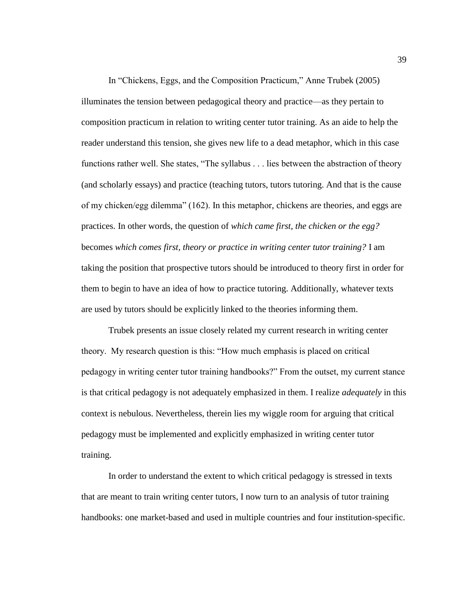In "Chickens, Eggs, and the Composition Practicum," Anne Trubek (2005) illuminates the tension between pedagogical theory and practice—as they pertain to composition practicum in relation to writing center tutor training. As an aide to help the reader understand this tension, she gives new life to a dead metaphor, which in this case functions rather well. She states, "The syllabus . . . lies between the abstraction of theory (and scholarly essays) and practice (teaching tutors, tutors tutoring. And that is the cause of my chicken/egg dilemma" (162). In this metaphor, chickens are theories, and eggs are practices. In other words, the question of *which came first, the chicken or the egg?* becomes *which comes first, theory or practice in writing center tutor training?* I am taking the position that prospective tutors should be introduced to theory first in order for them to begin to have an idea of how to practice tutoring. Additionally, whatever texts are used by tutors should be explicitly linked to the theories informing them.

Trubek presents an issue closely related my current research in writing center theory. My research question is this: "How much emphasis is placed on critical pedagogy in writing center tutor training handbooks?" From the outset, my current stance is that critical pedagogy is not adequately emphasized in them. I realize *adequately* in this context is nebulous. Nevertheless, therein lies my wiggle room for arguing that critical pedagogy must be implemented and explicitly emphasized in writing center tutor training.

In order to understand the extent to which critical pedagogy is stressed in texts that are meant to train writing center tutors, I now turn to an analysis of tutor training handbooks: one market-based and used in multiple countries and four institution-specific.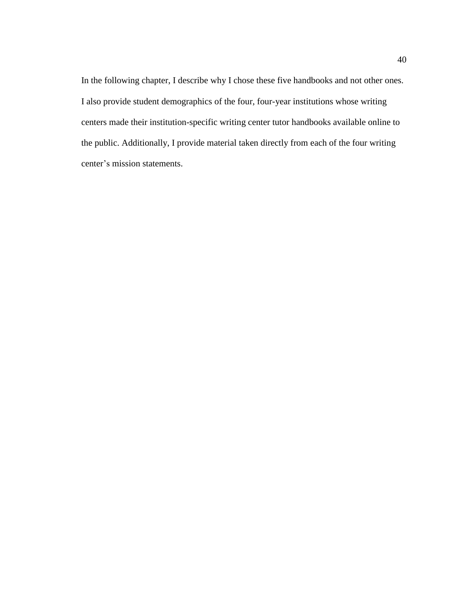In the following chapter, I describe why I chose these five handbooks and not other ones. I also provide student demographics of the four, four-year institutions whose writing centers made their institution-specific writing center tutor handbooks available online to the public. Additionally, I provide material taken directly from each of the four writing center's mission statements.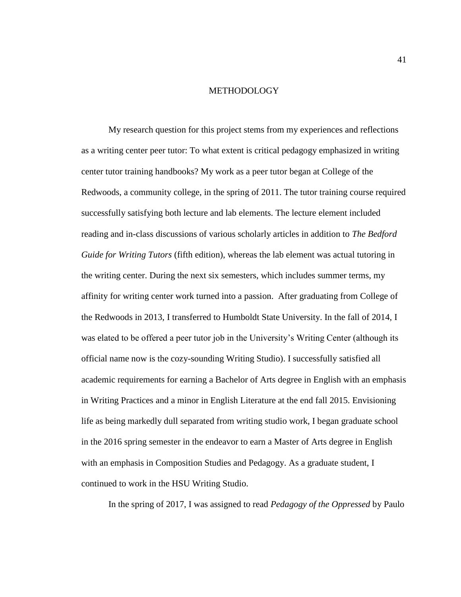## METHODOLOGY

My research question for this project stems from my experiences and reflections as a writing center peer tutor: To what extent is critical pedagogy emphasized in writing center tutor training handbooks? My work as a peer tutor began at College of the Redwoods, a community college, in the spring of 2011. The tutor training course required successfully satisfying both lecture and lab elements. The lecture element included reading and in-class discussions of various scholarly articles in addition to *The Bedford Guide for Writing Tutors* (fifth edition), whereas the lab element was actual tutoring in the writing center. During the next six semesters, which includes summer terms, my affinity for writing center work turned into a passion. After graduating from College of the Redwoods in 2013, I transferred to Humboldt State University. In the fall of 2014, I was elated to be offered a peer tutor job in the University's Writing Center (although its official name now is the cozy-sounding Writing Studio). I successfully satisfied all academic requirements for earning a Bachelor of Arts degree in English with an emphasis in Writing Practices and a minor in English Literature at the end fall 2015. Envisioning life as being markedly dull separated from writing studio work, I began graduate school in the 2016 spring semester in the endeavor to earn a Master of Arts degree in English with an emphasis in Composition Studies and Pedagogy. As a graduate student, I continued to work in the HSU Writing Studio.

In the spring of 2017, I was assigned to read *Pedagogy of the Oppressed* by Paulo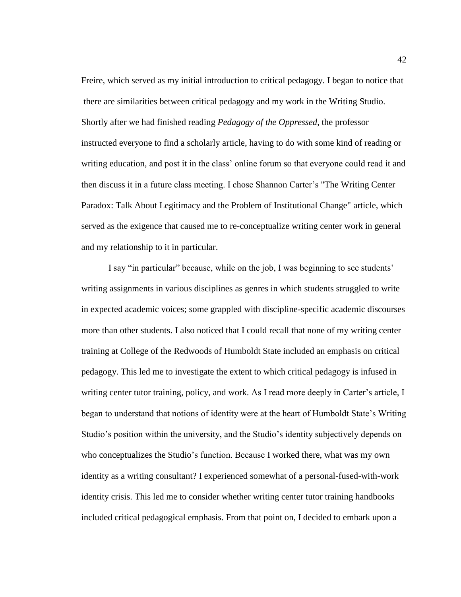Freire, which served as my initial introduction to critical pedagogy. I began to notice that there are similarities between critical pedagogy and my work in the Writing Studio. Shortly after we had finished reading *Pedagogy of the Oppressed*, the professor instructed everyone to find a scholarly article, having to do with some kind of reading or writing education, and post it in the class' online forum so that everyone could read it and then discuss it in a future class meeting. I chose Shannon Carter's "The Writing Center Paradox: Talk About Legitimacy and the Problem of Institutional Change" article, which served as the exigence that caused me to re-conceptualize writing center work in general and my relationship to it in particular.

I say "in particular" because, while on the job, I was beginning to see students' writing assignments in various disciplines as genres in which students struggled to write in expected academic voices; some grappled with discipline-specific academic discourses more than other students. I also noticed that I could recall that none of my writing center training at College of the Redwoods of Humboldt State included an emphasis on critical pedagogy. This led me to investigate the extent to which critical pedagogy is infused in writing center tutor training, policy, and work. As I read more deeply in Carter's article, I began to understand that notions of identity were at the heart of Humboldt State's Writing Studio's position within the university, and the Studio's identity subjectively depends on who conceptualizes the Studio's function. Because I worked there, what was my own identity as a writing consultant? I experienced somewhat of a personal-fused-with-work identity crisis. This led me to consider whether writing center tutor training handbooks included critical pedagogical emphasis. From that point on, I decided to embark upon a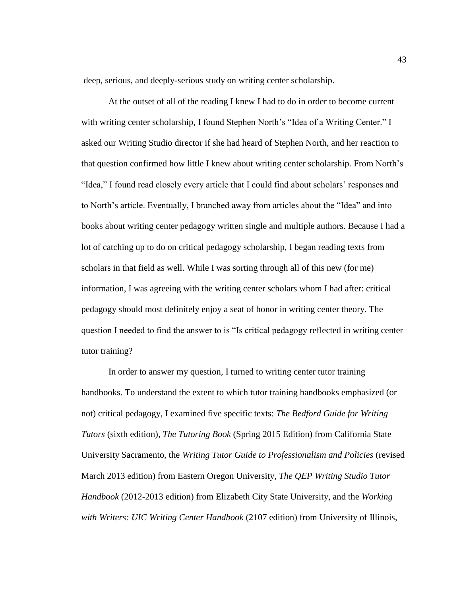deep, serious, and deeply-serious study on writing center scholarship.

At the outset of all of the reading I knew I had to do in order to become current with writing center scholarship, I found Stephen North's "Idea of a Writing Center." I asked our Writing Studio director if she had heard of Stephen North, and her reaction to that question confirmed how little I knew about writing center scholarship. From North's "Idea," I found read closely every article that I could find about scholars' responses and to North's article. Eventually, I branched away from articles about the "Idea" and into books about writing center pedagogy written single and multiple authors. Because I had a lot of catching up to do on critical pedagogy scholarship, I began reading texts from scholars in that field as well. While I was sorting through all of this new (for me) information, I was agreeing with the writing center scholars whom I had after: critical pedagogy should most definitely enjoy a seat of honor in writing center theory. The question I needed to find the answer to is "Is critical pedagogy reflected in writing center tutor training?

In order to answer my question, I turned to writing center tutor training handbooks. To understand the extent to which tutor training handbooks emphasized (or not) critical pedagogy, I examined five specific texts: *The Bedford Guide for Writing Tutors* (sixth edition), *The Tutoring Book* (Spring 2015 Edition) from California State University Sacramento, the *Writing Tutor Guide to Professionalism and Policies* (revised March 2013 edition) from Eastern Oregon University, *The QEP Writing Studio Tutor Handbook* (2012-2013 edition) from Elizabeth City State University, and the *Working with Writers: UIC Writing Center Handbook* (2107 edition) from University of Illinois,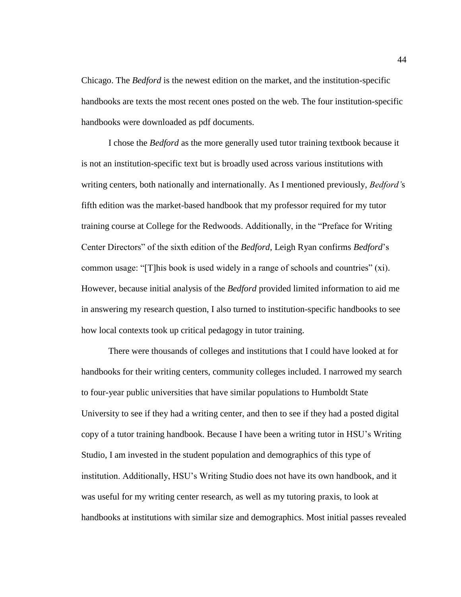Chicago. The *Bedford* is the newest edition on the market, and the institution-specific handbooks are texts the most recent ones posted on the web. The four institution-specific handbooks were downloaded as pdf documents.

I chose the *Bedford* as the more generally used tutor training textbook because it is not an institution-specific text but is broadly used across various institutions with writing centers, both nationally and internationally. As I mentioned previously, *Bedford'*s fifth edition was the market-based handbook that my professor required for my tutor training course at College for the Redwoods. Additionally, in the "Preface for Writing Center Directors" of the sixth edition of the *Bedford*, Leigh Ryan confirms *Bedford*'s common usage: "[T]his book is used widely in a range of schools and countries" (xi). However, because initial analysis of the *Bedford* provided limited information to aid me in answering my research question, I also turned to institution-specific handbooks to see how local contexts took up critical pedagogy in tutor training.

There were thousands of colleges and institutions that I could have looked at for handbooks for their writing centers, community colleges included. I narrowed my search to four-year public universities that have similar populations to Humboldt State University to see if they had a writing center, and then to see if they had a posted digital copy of a tutor training handbook. Because I have been a writing tutor in HSU's Writing Studio, I am invested in the student population and demographics of this type of institution. Additionally, HSU's Writing Studio does not have its own handbook, and it was useful for my writing center research, as well as my tutoring praxis, to look at handbooks at institutions with similar size and demographics. Most initial passes revealed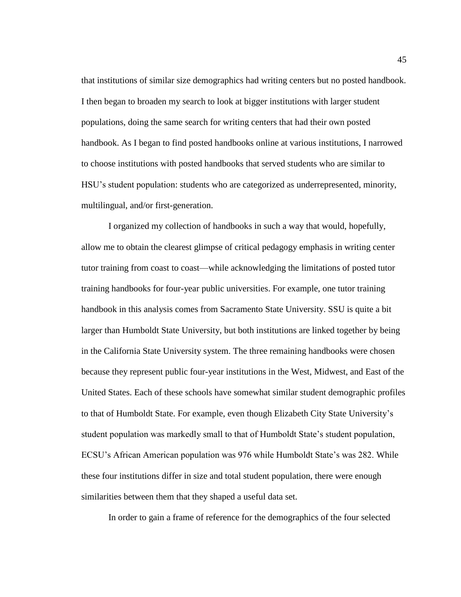that institutions of similar size demographics had writing centers but no posted handbook. I then began to broaden my search to look at bigger institutions with larger student populations, doing the same search for writing centers that had their own posted handbook. As I began to find posted handbooks online at various institutions, I narrowed to choose institutions with posted handbooks that served students who are similar to HSU's student population: students who are categorized as underrepresented, minority, multilingual, and/or first-generation.

I organized my collection of handbooks in such a way that would, hopefully, allow me to obtain the clearest glimpse of critical pedagogy emphasis in writing center tutor training from coast to coast—while acknowledging the limitations of posted tutor training handbooks for four-year public universities. For example, one tutor training handbook in this analysis comes from Sacramento State University. SSU is quite a bit larger than Humboldt State University, but both institutions are linked together by being in the California State University system. The three remaining handbooks were chosen because they represent public four-year institutions in the West, Midwest, and East of the United States. Each of these schools have somewhat similar student demographic profiles to that of Humboldt State. For example, even though Elizabeth City State University's student population was markedly small to that of Humboldt State's student population, ECSU's African American population was 976 while Humboldt State's was 282. While these four institutions differ in size and total student population, there were enough similarities between them that they shaped a useful data set.

In order to gain a frame of reference for the demographics of the four selected

45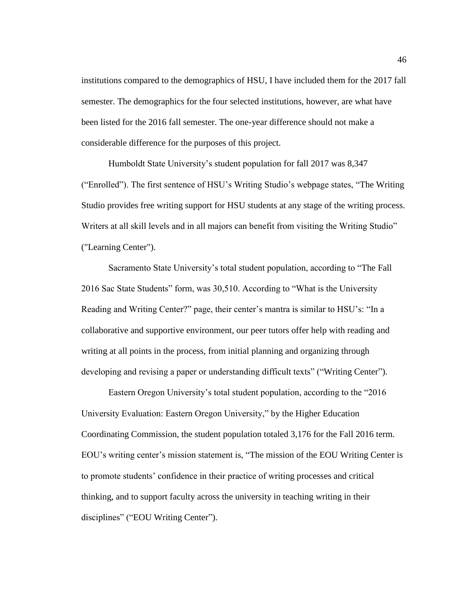institutions compared to the demographics of HSU, I have included them for the 2017 fall semester. The demographics for the four selected institutions, however, are what have been listed for the 2016 fall semester. The one-year difference should not make a considerable difference for the purposes of this project.

Humboldt State University's student population for fall 2017 was 8,347 ("Enrolled"). The first sentence of HSU's Writing Studio's webpage states, "The Writing Studio provides free writing support for HSU students at any stage of the writing process. Writers at all skill levels and in all majors can benefit from visiting the Writing Studio" ("Learning Center").

Sacramento State University's total student population, according to "The Fall 2016 Sac State Students" form, was 30,510. According to "What is the University Reading and Writing Center?" page, their center's mantra is similar to HSU's: "In a collaborative and supportive environment, our peer tutors offer help with reading and writing at all points in the process, from initial planning and organizing through developing and revising a paper or understanding difficult texts" ("Writing Center").

Eastern Oregon University's total student population, according to the "2016 University Evaluation: Eastern Oregon University," by the Higher Education Coordinating Commission, the student population totaled 3,176 for the Fall 2016 term. EOU's writing center's mission statement is, "The mission of the EOU Writing Center is to promote students' confidence in their practice of writing processes and critical thinking, and to support faculty across the university in teaching writing in their disciplines" ("EOU Writing Center").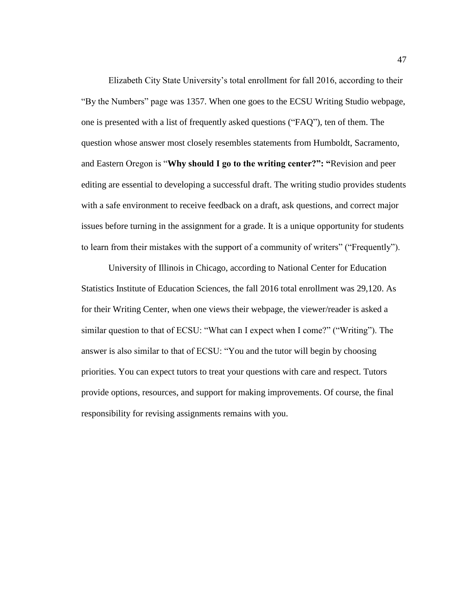Elizabeth City State University's total enrollment for fall 2016, according to their "By the Numbers" page was 1357. When one goes to the ECSU Writing Studio webpage, one is presented with a list of frequently asked questions ("FAQ"), ten of them. The question whose answer most closely resembles statements from Humboldt, Sacramento, and Eastern Oregon is "**Why should I go to the writing center?": "**Revision and peer editing are essential to developing a successful draft. The writing studio provides students with a safe environment to receive feedback on a draft, ask questions, and correct major issues before turning in the assignment for a grade. It is a unique opportunity for students to learn from their mistakes with the support of a community of writers" ("Frequently").

University of Illinois in Chicago, according to National Center for Education Statistics Institute of Education Sciences, the fall 2016 total enrollment was 29,120. As for their Writing Center, when one views their webpage, the viewer/reader is asked a similar question to that of ECSU: "What can I expect when I come?" ("Writing"). The answer is also similar to that of ECSU: "You and the tutor will begin by choosing priorities. You can expect tutors to treat your questions with care and respect. Tutors provide options, resources, and support for making improvements. Of course, the final responsibility for revising assignments remains with you.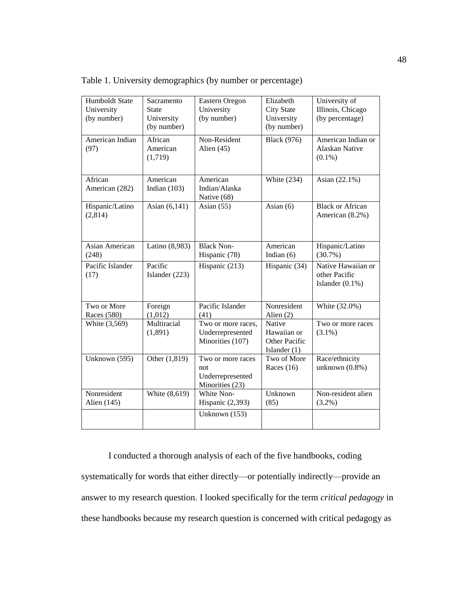| Humboldt State<br>University<br>(by number) | Sacramento<br><b>State</b><br>University<br>(by number) | Eastern Oregon<br>University<br>(by number)                     | Elizabeth<br><b>City State</b><br>University<br>(by number) | University of<br>Illinois, Chicago<br>(by percentage)     |
|---------------------------------------------|---------------------------------------------------------|-----------------------------------------------------------------|-------------------------------------------------------------|-----------------------------------------------------------|
| American Indian<br>(97)                     | African<br>American<br>(1,719)                          | Non-Resident<br>Alien $(45)$                                    | <b>Black</b> (976)                                          | American Indian or<br>Alaskan Native<br>$(0.1\%)$         |
| African<br>American (282)                   | American<br>Indian $(103)$                              | American<br>Indian/Alaska<br>Native (68)                        | White $(234)$                                               | Asian (22.1%)                                             |
| Hispanic/Latino<br>(2,814)                  | Asian (6,141)                                           | Asian $(55)$                                                    | Asian $(6)$                                                 | <b>Black or African</b><br>American (8.2%)                |
| Asian American<br>(248)                     | Latino (8,983)                                          | <b>Black Non-</b><br>Hispanic (78)                              | American<br>Indian $(6)$                                    | Hispanic/Latino<br>$(30.7\%)$                             |
| Pacific Islander<br>(17)                    | Pacific<br>Islander (223)                               | Hispanic (213)                                                  | Hispanic (34)                                               | Native Hawaiian or<br>other Pacific<br>Islander $(0.1\%)$ |
| Two or More<br>Races (580)                  | Foreign<br>(1,012)                                      | Pacific Islander<br>(41)                                        | Nonresident<br>Alien $(2)$                                  | White (32.0%)                                             |
| White (3,569)                               | Multiracial<br>(1,891)                                  | Two or more races,<br>Underrepresented<br>Minorities (107)      | Native<br>Hawaiian or<br>Other Pacific<br>Islander $(1)$    | Two or more races<br>$(3.1\%)$                            |
| Unknown (595)                               | Other (1,819)                                           | Two or more races<br>not<br>Underrepresented<br>Minorities (23) | Two of More<br>Races $(16)$                                 | Race/ethnicity<br>unknown $(0.8\%)$                       |
| Nonresident<br>Alien (145)                  | White (8,619)                                           | White Non-<br>Hispanic (2,393)<br>Unknown (153)                 | Unknown<br>(85)                                             | Non-resident alien<br>$(3.2\%)$                           |
|                                             |                                                         |                                                                 |                                                             |                                                           |

Table 1. University demographics (by number or percentage)

I conducted a thorough analysis of each of the five handbooks, coding systematically for words that either directly—or potentially indirectly—provide an answer to my research question. I looked specifically for the term *critical pedagogy* in these handbooks because my research question is concerned with critical pedagogy as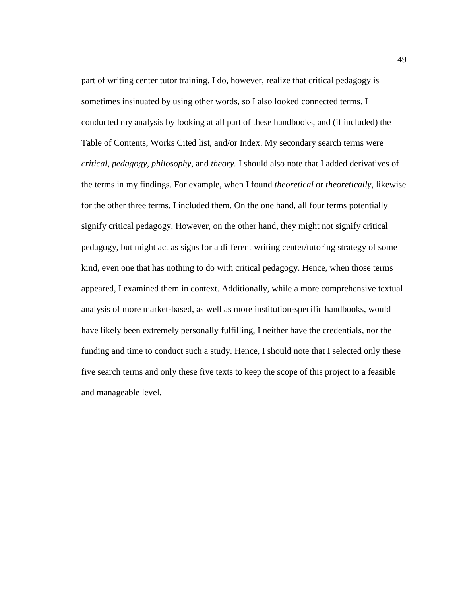part of writing center tutor training. I do, however, realize that critical pedagogy is sometimes insinuated by using other words, so I also looked connected terms. I conducted my analysis by looking at all part of these handbooks, and (if included) the Table of Contents, Works Cited list, and/or Index. My secondary search terms were *critical*, *pedagogy*, *philosophy*, and *theory*. I should also note that I added derivatives of the terms in my findings. For example, when I found *theoretical* or *theoretically*, likewise for the other three terms, I included them. On the one hand, all four terms potentially signify critical pedagogy. However, on the other hand, they might not signify critical pedagogy, but might act as signs for a different writing center/tutoring strategy of some kind, even one that has nothing to do with critical pedagogy. Hence, when those terms appeared, I examined them in context. Additionally, while a more comprehensive textual analysis of more market-based, as well as more institution-specific handbooks, would have likely been extremely personally fulfilling, I neither have the credentials, nor the funding and time to conduct such a study. Hence, I should note that I selected only these five search terms and only these five texts to keep the scope of this project to a feasible and manageable level.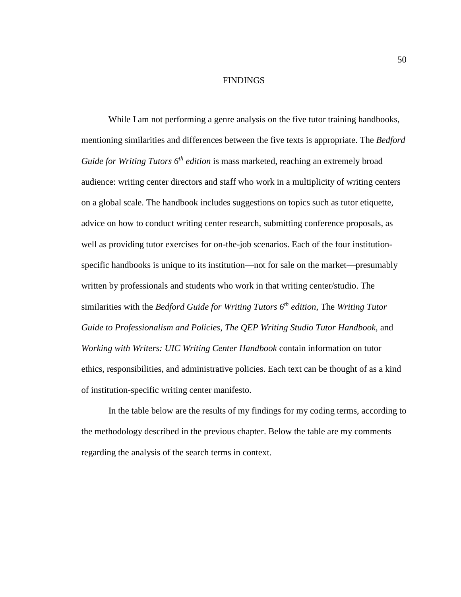#### **FINDINGS**

While I am not performing a genre analysis on the five tutor training handbooks, mentioning similarities and differences between the five texts is appropriate. The *Bedford Guide for Writing Tutors 6th edition* is mass marketed, reaching an extremely broad audience: writing center directors and staff who work in a multiplicity of writing centers on a global scale. The handbook includes suggestions on topics such as tutor etiquette, advice on how to conduct writing center research, submitting conference proposals, as well as providing tutor exercises for on-the-job scenarios. Each of the four institutionspecific handbooks is unique to its institution—not for sale on the market—presumably written by professionals and students who work in that writing center/studio. The similarities with the *Bedford Guide for Writing Tutors 6th edition*, The *Writing Tutor*  Guide to Professionalism and Policies, The QEP Writing Studio Tutor Handbook, and *Working with Writers: UIC Writing Center Handbook* contain information on tutor ethics, responsibilities, and administrative policies. Each text can be thought of as a kind of institution-specific writing center manifesto.

In the table below are the results of my findings for my coding terms, according to the methodology described in the previous chapter. Below the table are my comments regarding the analysis of the search terms in context.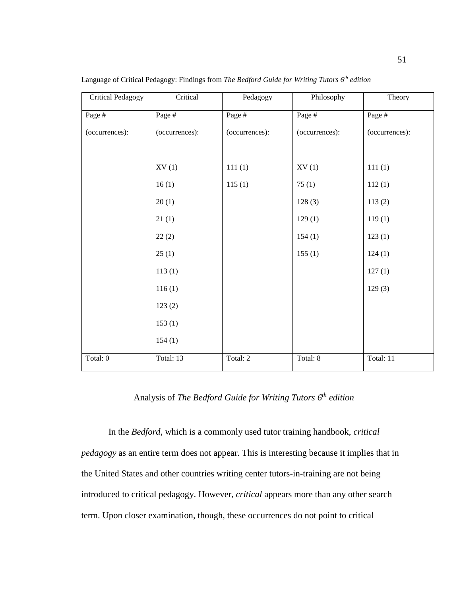| <b>Critical Pedagogy</b> | Critical       | Pedagogy       | Philosophy     | Theory         |
|--------------------------|----------------|----------------|----------------|----------------|
| Page #                   | Page #         | Page #         | Page #         | Page #         |
| (occurrences):           | (occurrences): | (occurrences): | (occurrences): | (occurrences): |
|                          |                |                |                |                |
|                          | XV(1)          | 111(1)         | XV(1)          | 111(1)         |
|                          | 16(1)          | 115(1)         | 75(1)          | 112(1)         |
|                          | 20(1)          |                | 128(3)         | 113(2)         |
|                          | 21(1)          |                | 129(1)         | 119(1)         |
|                          | 22(2)          |                | 154(1)         | 123(1)         |
|                          | 25(1)          |                | 155(1)         | 124(1)         |
|                          | 113(1)         |                |                | 127(1)         |
|                          | 116(1)         |                |                | 129(3)         |
|                          | 123(2)         |                |                |                |
|                          | 153(1)         |                |                |                |
|                          | 154(1)         |                |                |                |
| Total: 0                 | Total: 13      | Total: 2       | Total: 8       | Total: 11      |

Language of Critical Pedagogy: Findings from *The Bedford Guide for Writing Tutors 6 th edition*

Analysis of *The Bedford Guide for Writing Tutors 6 th edition*

In the *Bedford*, which is a commonly used tutor training handbook, *critical pedagogy* as an entire term does not appear. This is interesting because it implies that in the United States and other countries writing center tutors-in-training are not being introduced to critical pedagogy. However, *critical* appears more than any other search term. Upon closer examination, though, these occurrences do not point to critical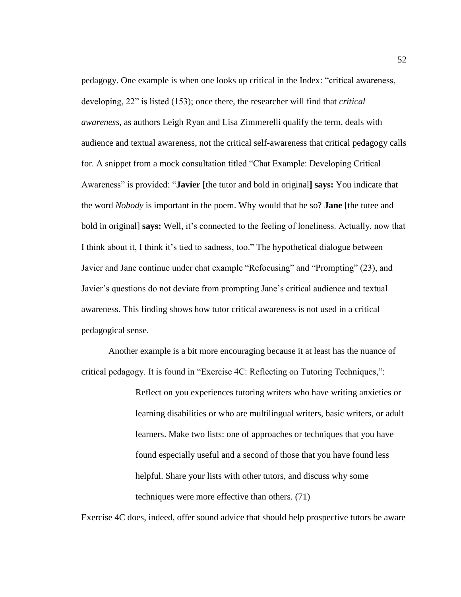pedagogy. One example is when one looks up critical in the Index: "critical awareness, developing, 22" is listed (153); once there, the researcher will find that *critical awareness*, as authors Leigh Ryan and Lisa Zimmerelli qualify the term, deals with audience and textual awareness, not the critical self-awareness that critical pedagogy calls for. A snippet from a mock consultation titled "Chat Example: Developing Critical Awareness" is provided: "**Javier** [the tutor and bold in original**] says:** You indicate that the word *Nobody* is important in the poem. Why would that be so? **Jane** [the tutee and bold in original] **says:** Well, it's connected to the feeling of loneliness. Actually, now that I think about it, I think it's tied to sadness, too." The hypothetical dialogue between Javier and Jane continue under chat example "Refocusing" and "Prompting" (23), and Javier's questions do not deviate from prompting Jane's critical audience and textual awareness. This finding shows how tutor critical awareness is not used in a critical pedagogical sense.

Another example is a bit more encouraging because it at least has the nuance of critical pedagogy. It is found in "Exercise 4C: Reflecting on Tutoring Techniques,":

> Reflect on you experiences tutoring writers who have writing anxieties or learning disabilities or who are multilingual writers, basic writers, or adult learners. Make two lists: one of approaches or techniques that you have found especially useful and a second of those that you have found less helpful. Share your lists with other tutors, and discuss why some techniques were more effective than others. (71)

Exercise 4C does, indeed, offer sound advice that should help prospective tutors be aware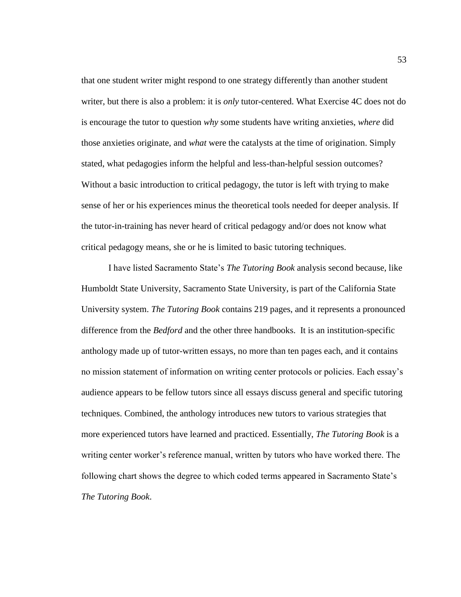that one student writer might respond to one strategy differently than another student writer, but there is also a problem: it is *only* tutor-centered. What Exercise 4C does not do is encourage the tutor to question *why* some students have writing anxieties, *where* did those anxieties originate, and *what* were the catalysts at the time of origination. Simply stated, what pedagogies inform the helpful and less-than-helpful session outcomes? Without a basic introduction to critical pedagogy, the tutor is left with trying to make sense of her or his experiences minus the theoretical tools needed for deeper analysis. If the tutor-in-training has never heard of critical pedagogy and/or does not know what critical pedagogy means, she or he is limited to basic tutoring techniques.

I have listed Sacramento State's *The Tutoring Book* analysis second because, like Humboldt State University, Sacramento State University, is part of the California State University system. *The Tutoring Book* contains 219 pages, and it represents a pronounced difference from the *Bedford* and the other three handbooks. It is an institution-specific anthology made up of tutor-written essays, no more than ten pages each, and it contains no mission statement of information on writing center protocols or policies. Each essay's audience appears to be fellow tutors since all essays discuss general and specific tutoring techniques. Combined, the anthology introduces new tutors to various strategies that more experienced tutors have learned and practiced. Essentially, *The Tutoring Book* is a writing center worker's reference manual, written by tutors who have worked there. The following chart shows the degree to which coded terms appeared in Sacramento State's *The Tutoring Book*.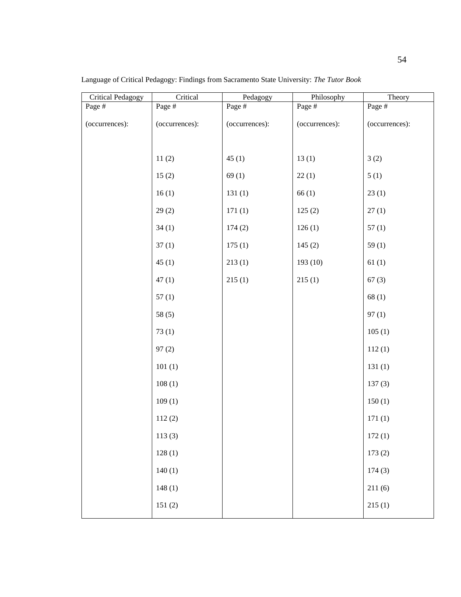| <b>Critical Pedagogy</b> | Critical       | Pedagogy       | Philosophy     | Theory         |
|--------------------------|----------------|----------------|----------------|----------------|
| Page #                   | Page #         | Page #         | Page #         | Page #         |
| (occurrences):           | (occurrences): | (occurrences): | (occurrences): | (occurrences): |
|                          |                |                |                |                |
|                          | 11(2)          | 45(1)          | 13(1)          | 3(2)           |
|                          | 15(2)          | 69(1)          | 22(1)          | 5(1)           |
|                          | 16(1)          | 131(1)         | 66(1)          | 23(1)          |
|                          | 29(2)          | 171(1)         | 125(2)         | 27(1)          |
|                          | 34(1)          | 174(2)         | 126(1)         | 57(1)          |
|                          | 37(1)          | 175(1)         | 145(2)         | 59(1)          |
|                          | 45(1)          | 213(1)         | 193 (10)       | 61(1)          |
|                          | 47(1)          | 215(1)         | 215(1)         | 67(3)          |
|                          | 57(1)          |                |                | 68(1)          |
|                          | 58(5)          |                |                | 97(1)          |
|                          | 73(1)          |                |                | 105(1)         |
|                          | 97(2)          |                |                | 112(1)         |
|                          | 101(1)         |                |                | 131(1)         |
|                          | 108(1)         |                |                | 137(3)         |
|                          | 109(1)         |                |                | 150(1)         |
|                          | 112(2)         |                |                | 171(1)         |
|                          | 113(3)         |                |                | 172(1)         |
|                          | 128(1)         |                |                | 173(2)         |
|                          | 140(1)         |                |                | 174(3)         |
|                          | 148(1)         |                |                | 211(6)         |
|                          | 151(2)         |                |                | 215(1)         |
|                          |                |                |                |                |

Language of Critical Pedagogy: Findings from Sacramento State University: *The Tutor Book*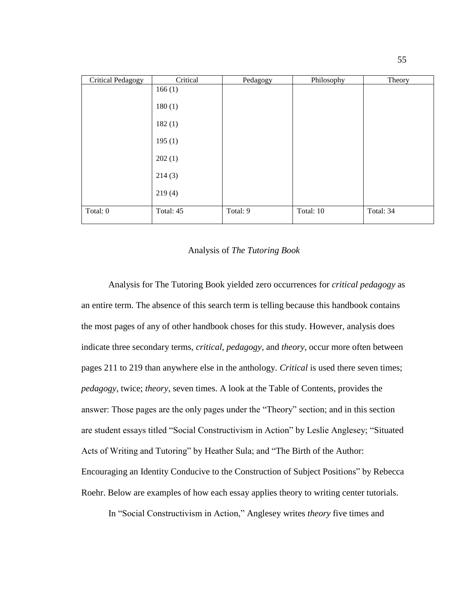| <b>Critical Pedagogy</b> | Critical  | Pedagogy | Philosophy | Theory    |
|--------------------------|-----------|----------|------------|-----------|
|                          | 166(1)    |          |            |           |
|                          | 180(1)    |          |            |           |
|                          | 182(1)    |          |            |           |
|                          | 195(1)    |          |            |           |
|                          | 202(1)    |          |            |           |
|                          | 214(3)    |          |            |           |
|                          | 219(4)    |          |            |           |
| Total: 0                 | Total: 45 | Total: 9 | Total: 10  | Total: 34 |

### Analysis of *The Tutoring Book*

Analysis for The Tutoring Book yielded zero occurrences for *critical pedagogy* as an entire term. The absence of this search term is telling because this handbook contains the most pages of any of other handbook choses for this study. However, analysis does indicate three secondary terms, *critical*, *pedagogy*, and *theory*, occur more often between pages 211 to 219 than anywhere else in the anthology. *Critical* is used there seven times; *pedagogy*, twice; *theory*, seven times. A look at the Table of Contents, provides the answer: Those pages are the only pages under the "Theory" section; and in this section are student essays titled "Social Constructivism in Action" by Leslie Anglesey; "Situated Acts of Writing and Tutoring" by Heather Sula; and "The Birth of the Author: Encouraging an Identity Conducive to the Construction of Subject Positions" by Rebecca Roehr. Below are examples of how each essay applies theory to writing center tutorials.

In "Social Constructivism in Action," Anglesey writes *theory* five times and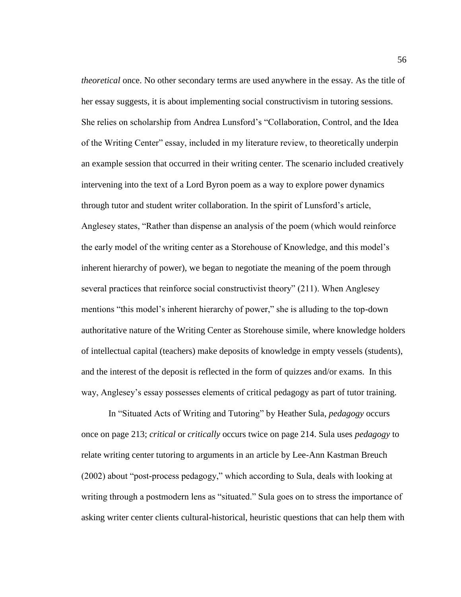*theoretical* once. No other secondary terms are used anywhere in the essay. As the title of her essay suggests, it is about implementing social constructivism in tutoring sessions. She relies on scholarship from Andrea Lunsford's "Collaboration, Control, and the Idea of the Writing Center" essay, included in my literature review, to theoretically underpin an example session that occurred in their writing center. The scenario included creatively intervening into the text of a Lord Byron poem as a way to explore power dynamics through tutor and student writer collaboration. In the spirit of Lunsford's article, Anglesey states, "Rather than dispense an analysis of the poem (which would reinforce the early model of the writing center as a Storehouse of Knowledge, and this model's inherent hierarchy of power), we began to negotiate the meaning of the poem through several practices that reinforce social constructivist theory" (211). When Anglesey mentions "this model's inherent hierarchy of power," she is alluding to the top-down authoritative nature of the Writing Center as Storehouse simile, where knowledge holders of intellectual capital (teachers) make deposits of knowledge in empty vessels (students), and the interest of the deposit is reflected in the form of quizzes and/or exams. In this way, Anglesey's essay possesses elements of critical pedagogy as part of tutor training.

In "Situated Acts of Writing and Tutoring" by Heather Sula, *pedagogy* occurs once on page 213; *critical* or *critically* occurs twice on page 214. Sula uses *pedagogy* to relate writing center tutoring to arguments in an article by Lee-Ann Kastman Breuch (2002) about "post-process pedagogy," which according to Sula, deals with looking at writing through a postmodern lens as "situated." Sula goes on to stress the importance of asking writer center clients cultural-historical, heuristic questions that can help them with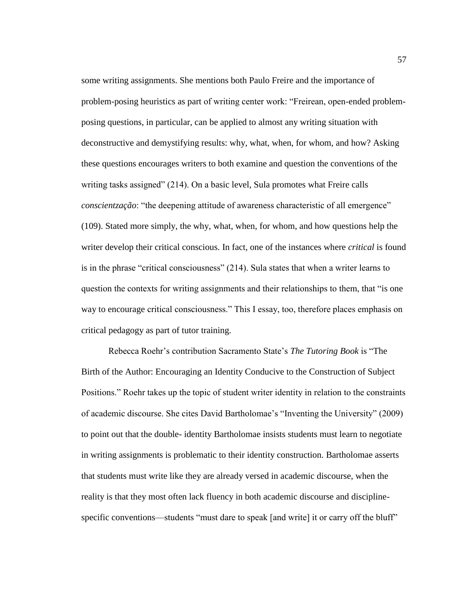some writing assignments. She mentions both Paulo Freire and the importance of problem-posing heuristics as part of writing center work: "Freirean, open-ended problemposing questions, in particular, can be applied to almost any writing situation with deconstructive and demystifying results: why, what, when, for whom, and how? Asking these questions encourages writers to both examine and question the conventions of the writing tasks assigned" (214). On a basic level, Sula promotes what Freire calls *conscientzação*: "the deepening attitude of awareness characteristic of all emergence" (109). Stated more simply, the why, what, when, for whom, and how questions help the writer develop their critical conscious. In fact, one of the instances where *critical* is found is in the phrase "critical consciousness" (214). Sula states that when a writer learns to question the contexts for writing assignments and their relationships to them, that "is one way to encourage critical consciousness." This I essay, too, therefore places emphasis on critical pedagogy as part of tutor training.

Rebecca Roehr's contribution Sacramento State's *The Tutoring Book* is "The Birth of the Author: Encouraging an Identity Conducive to the Construction of Subject Positions." Roehr takes up the topic of student writer identity in relation to the constraints of academic discourse. She cites David Bartholomae's "Inventing the University" (2009) to point out that the double- identity Bartholomae insists students must learn to negotiate in writing assignments is problematic to their identity construction. Bartholomae asserts that students must write like they are already versed in academic discourse, when the reality is that they most often lack fluency in both academic discourse and disciplinespecific conventions—students "must dare to speak [and write] it or carry off the bluff"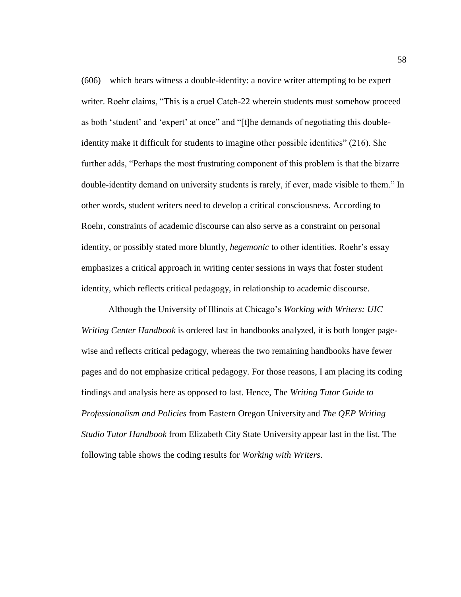(606)—which bears witness a double-identity: a novice writer attempting to be expert writer. Roehr claims, "This is a cruel Catch-22 wherein students must somehow proceed as both 'student' and 'expert' at once" and "[t]he demands of negotiating this doubleidentity make it difficult for students to imagine other possible identities" (216). She further adds, "Perhaps the most frustrating component of this problem is that the bizarre double-identity demand on university students is rarely, if ever, made visible to them." In other words, student writers need to develop a critical consciousness. According to Roehr, constraints of academic discourse can also serve as a constraint on personal identity, or possibly stated more bluntly, *hegemonic* to other identities. Roehr's essay emphasizes a critical approach in writing center sessions in ways that foster student identity, which reflects critical pedagogy, in relationship to academic discourse.

Although the University of Illinois at Chicago's *Working with Writers: UIC Writing Center Handbook* is ordered last in handbooks analyzed, it is both longer pagewise and reflects critical pedagogy, whereas the two remaining handbooks have fewer pages and do not emphasize critical pedagogy. For those reasons, I am placing its coding findings and analysis here as opposed to last. Hence, The *Writing Tutor Guide to Professionalism and Policies* from Eastern Oregon University and *The QEP Writing Studio Tutor Handbook* from Elizabeth City State University appear last in the list. The following table shows the coding results for *Working with Writers*.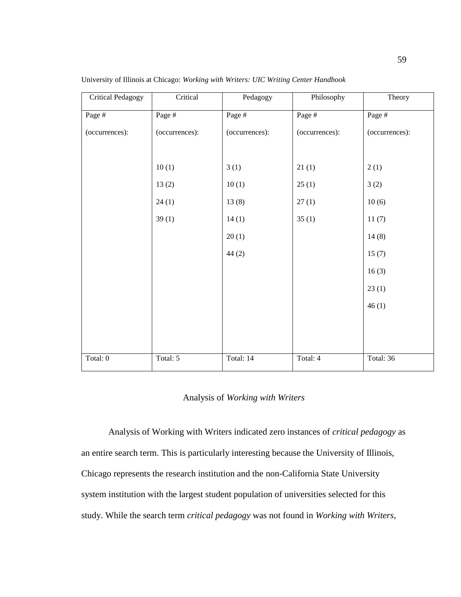| <b>Critical Pedagogy</b> | Critical       | Pedagogy       | Philosophy     | Theory         |
|--------------------------|----------------|----------------|----------------|----------------|
| Page #                   | Page #         | Page #         | Page #         | Page #         |
| (occurrences):           | (occurrences): | (occurrences): | (occurrences): | (occurrences): |
|                          |                |                |                |                |
|                          | 10(1)          | 3(1)           | 21(1)          | 2(1)           |
|                          | 13(2)          | 10(1)          | 25(1)          | 3(2)           |
|                          | 24(1)          | 13(8)          | 27(1)          | 10(6)          |
|                          | 39(1)          | 14(1)          | 35(1)          | 11(7)          |
|                          |                | 20(1)          |                | 14(8)          |
|                          |                | 44(2)          |                | 15(7)          |
|                          |                |                |                | 16(3)          |
|                          |                |                |                | 23(1)          |
|                          |                |                |                | 46(1)          |
|                          |                |                |                |                |
|                          |                |                |                |                |
| Total: 0                 | Total: 5       | Total: 14      | Total: 4       | Total: 36      |

University of Illinois at Chicago: *Working with Writers: UIC Writing Center Handbook*

# Analysis of *Working with Writers*

Analysis of Working with Writers indicated zero instances of *critical pedagogy* as an entire search term. This is particularly interesting because the University of Illinois, Chicago represents the research institution and the non-California State University system institution with the largest student population of universities selected for this study. While the search term *critical pedagogy* was not found in *Working with Writers*,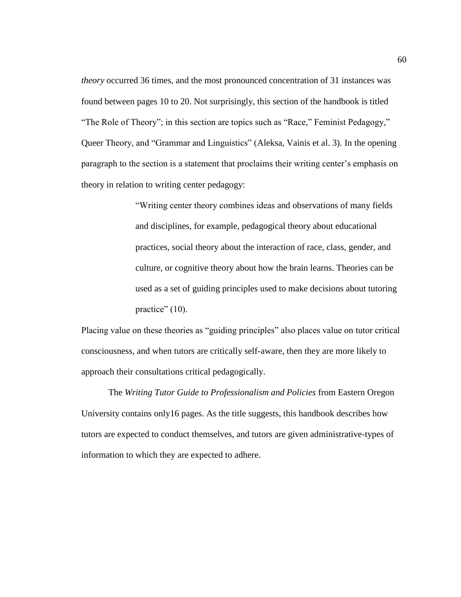*theory* occurred 36 times, and the most pronounced concentration of 31 instances was found between pages 10 to 20. Not surprisingly, this section of the handbook is titled "The Role of Theory"; in this section are topics such as "Race," Feminist Pedagogy," Queer Theory, and "Grammar and Linguistics" (Aleksa, Vainis et al. 3). In the opening paragraph to the section is a statement that proclaims their writing center's emphasis on theory in relation to writing center pedagogy:

> "Writing center theory combines ideas and observations of many fields and disciplines, for example, pedagogical theory about educational practices, social theory about the interaction of race, class, gender, and culture, or cognitive theory about how the brain learns. Theories can be used as a set of guiding principles used to make decisions about tutoring practice" (10).

Placing value on these theories as "guiding principles" also places value on tutor critical consciousness, and when tutors are critically self-aware, then they are more likely to approach their consultations critical pedagogically.

The *Writing Tutor Guide to Professionalism and Policies* from Eastern Oregon University contains only16 pages. As the title suggests, this handbook describes how tutors are expected to conduct themselves, and tutors are given administrative-types of information to which they are expected to adhere.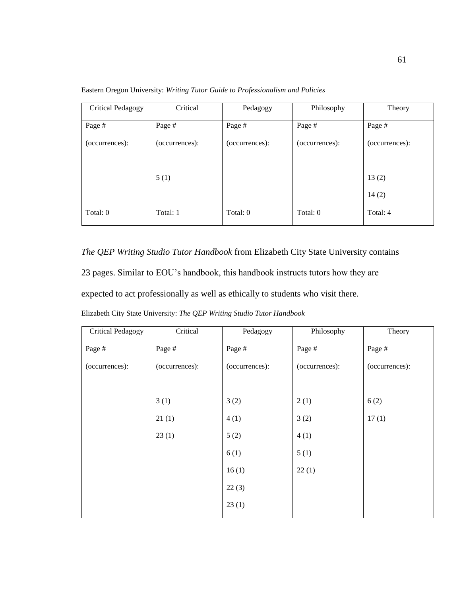| <b>Critical Pedagogy</b> | Critical       | Pedagogy       | Philosophy     | Theory         |
|--------------------------|----------------|----------------|----------------|----------------|
| Page #                   | Page #         | Page #         | Page #         | Page #         |
| (occurrences):           | (occurrences): | (occurrences): | (occurrences): | (occurrences): |
|                          |                |                |                |                |
|                          | 5(1)           |                |                | 13(2)          |
|                          |                |                |                | 14(2)          |
| Total: 0                 | Total: 1       | Total: 0       | Total: 0       | Total: 4       |
|                          |                |                |                |                |

Eastern Oregon University: *Writing Tutor Guide to Professionalism and Policies*

*The QEP Writing Studio Tutor Handbook* from Elizabeth City State University contains

23 pages. Similar to EOU's handbook, this handbook instructs tutors how they are

expected to act professionally as well as ethically to students who visit there.

Elizabeth City State University: *The QEP Writing Studio Tutor Handbook*

| <b>Critical Pedagogy</b> | Critical       | Pedagogy       | Philosophy     | Theory         |
|--------------------------|----------------|----------------|----------------|----------------|
| Page #                   | Page #         | Page #         | Page #         | Page #         |
| (occurrences):           | (occurrences): | (occurrences): | (occurrences): | (occurrences): |
|                          |                |                |                |                |
|                          | 3(1)           | 3(2)           | 2(1)           | 6(2)           |
|                          | 21(1)          | 4(1)           | 3(2)           | 17(1)          |
|                          | 23(1)          | 5(2)           | 4(1)           |                |
|                          |                | 6(1)           | 5(1)           |                |
|                          |                | 16(1)          | 22(1)          |                |
|                          |                | 22(3)          |                |                |
|                          |                | 23(1)          |                |                |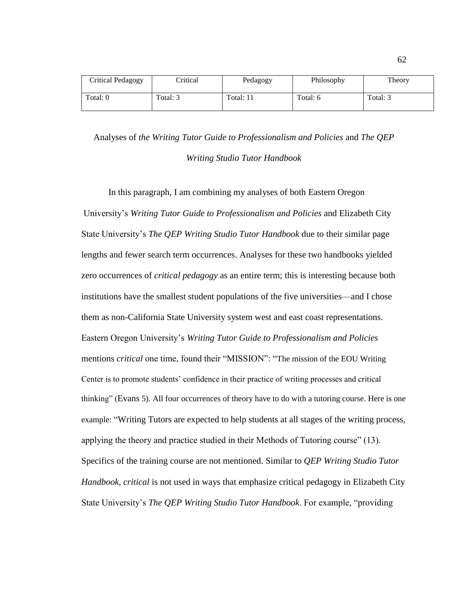| <b>Critical Pedagogy</b> | <b>Critical</b> | Pedagogy  | Philosophy | Theory   |
|--------------------------|-----------------|-----------|------------|----------|
| Total: 0                 | Total: 3        | Total: 11 | Total: 6   | Total: 3 |

Analyses of *the Writing Tutor Guide to Professionalism and Policies* and *The QEP Writing Studio Tutor Handbook*

In this paragraph, I am combining my analyses of both Eastern Oregon University's *Writing Tutor Guide to Professionalism and Policies* and Elizabeth City State University's *The QEP Writing Studio Tutor Handbook* due to their similar page lengths and fewer search term occurrences. Analyses for these two handbooks yielded zero occurrences of *critical pedagogy* as an entire term; this is interesting because both institutions have the smallest student populations of the five universities—and I chose them as non-California State University system west and east coast representations. Eastern Oregon University's *Writing Tutor Guide to Professionalism and Policies* mentions *critical* one time, found their "MISSION": "The mission of the EOU Writing Center is to promote students' confidence in their practice of writing processes and critical thinking" (Evans 5). All four occurrences of theory have to do with a tutoring course. Here is one example: "Writing Tutors are expected to help students at all stages of the writing process, applying the theory and practice studied in their Methods of Tutoring course" (13). Specifics of the training course are not mentioned. Similar to *QEP Writing Studio Tutor Handbook*, *critical* is not used in ways that emphasize critical pedagogy in Elizabeth City State University's *The QEP Writing Studio Tutor Handbook*. For example, "providing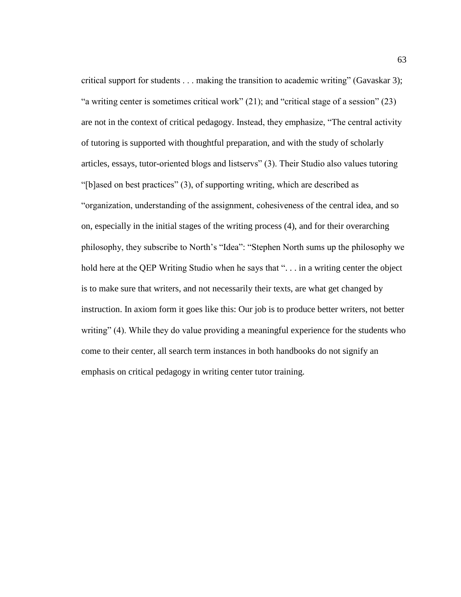critical support for students . . . making the transition to academic writing" (Gavaskar 3); "a writing center is sometimes critical work" (21); and "critical stage of a session" (23) are not in the context of critical pedagogy. Instead, they emphasize, "The central activity of tutoring is supported with thoughtful preparation, and with the study of scholarly articles, essays, tutor-oriented blogs and listservs" (3). Their Studio also values tutoring "[b]ased on best practices" (3), of supporting writing, which are described as "organization, understanding of the assignment, cohesiveness of the central idea, and so on, especially in the initial stages of the writing process (4), and for their overarching philosophy, they subscribe to North's "Idea": "Stephen North sums up the philosophy we hold here at the QEP Writing Studio when he says that "... in a writing center the object is to make sure that writers, and not necessarily their texts, are what get changed by instruction. In axiom form it goes like this: Our job is to produce better writers, not better writing" (4). While they do value providing a meaningful experience for the students who come to their center, all search term instances in both handbooks do not signify an emphasis on critical pedagogy in writing center tutor training.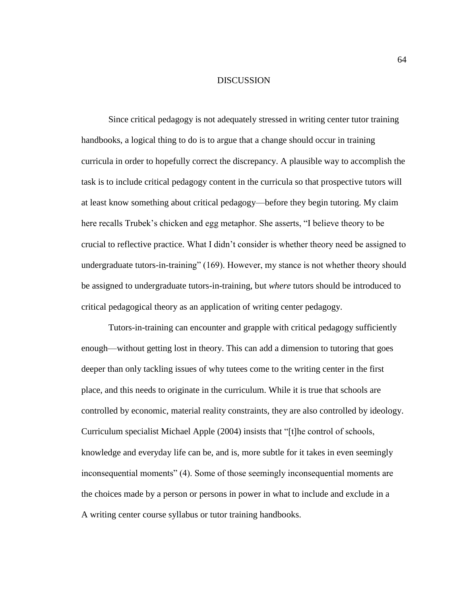### DISCUSSION

Since critical pedagogy is not adequately stressed in writing center tutor training handbooks, a logical thing to do is to argue that a change should occur in training curricula in order to hopefully correct the discrepancy. A plausible way to accomplish the task is to include critical pedagogy content in the curricula so that prospective tutors will at least know something about critical pedagogy—before they begin tutoring. My claim here recalls Trubek's chicken and egg metaphor. She asserts, "I believe theory to be crucial to reflective practice. What I didn't consider is whether theory need be assigned to undergraduate tutors-in-training" (169). However, my stance is not whether theory should be assigned to undergraduate tutors-in-training, but *where* tutors should be introduced to critical pedagogical theory as an application of writing center pedagogy*.*

Tutors-in-training can encounter and grapple with critical pedagogy sufficiently enough—without getting lost in theory. This can add a dimension to tutoring that goes deeper than only tackling issues of why tutees come to the writing center in the first place, and this needs to originate in the curriculum. While it is true that schools are controlled by economic, material reality constraints, they are also controlled by ideology. Curriculum specialist Michael Apple (2004) insists that "[t]he control of schools, knowledge and everyday life can be, and is, more subtle for it takes in even seemingly inconsequential moments" (4). Some of those seemingly inconsequential moments are the choices made by a person or persons in power in what to include and exclude in a A writing center course syllabus or tutor training handbooks.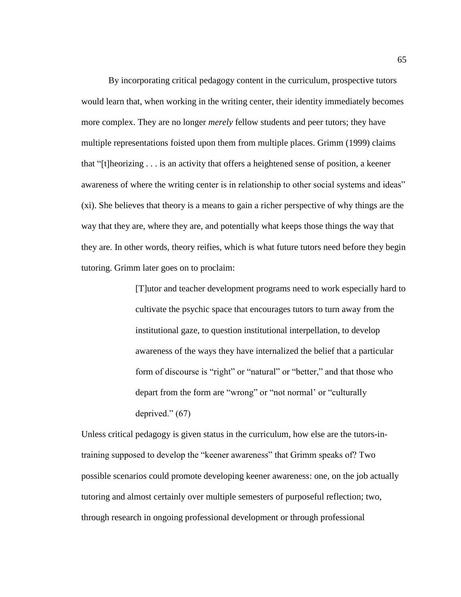By incorporating critical pedagogy content in the curriculum, prospective tutors would learn that, when working in the writing center, their identity immediately becomes more complex. They are no longer *merely* fellow students and peer tutors; they have multiple representations foisted upon them from multiple places. Grimm (1999) claims that "[t]heorizing . . . is an activity that offers a heightened sense of position, a keener awareness of where the writing center is in relationship to other social systems and ideas" (xi). She believes that theory is a means to gain a richer perspective of why things are the way that they are, where they are, and potentially what keeps those things the way that they are. In other words, theory reifies, which is what future tutors need before they begin tutoring. Grimm later goes on to proclaim:

> [T]utor and teacher development programs need to work especially hard to cultivate the psychic space that encourages tutors to turn away from the institutional gaze, to question institutional interpellation, to develop awareness of the ways they have internalized the belief that a particular form of discourse is "right" or "natural" or "better," and that those who depart from the form are "wrong" or "not normal' or "culturally deprived." (67)

Unless critical pedagogy is given status in the curriculum, how else are the tutors-intraining supposed to develop the "keener awareness" that Grimm speaks of? Two possible scenarios could promote developing keener awareness: one, on the job actually tutoring and almost certainly over multiple semesters of purposeful reflection; two, through research in ongoing professional development or through professional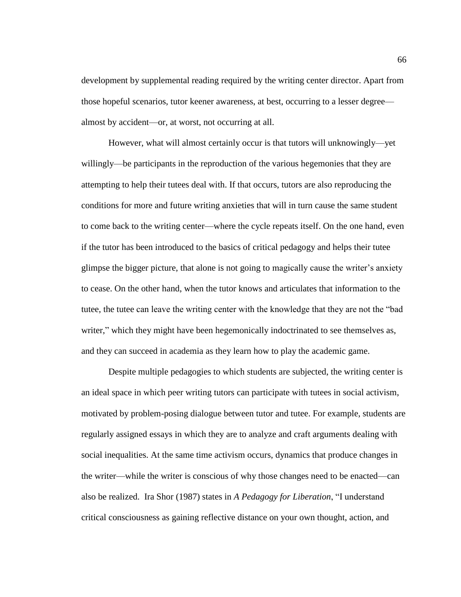development by supplemental reading required by the writing center director. Apart from those hopeful scenarios, tutor keener awareness, at best, occurring to a lesser degree almost by accident—or, at worst, not occurring at all.

However, what will almost certainly occur is that tutors will unknowingly—yet willingly—be participants in the reproduction of the various hegemonies that they are attempting to help their tutees deal with. If that occurs, tutors are also reproducing the conditions for more and future writing anxieties that will in turn cause the same student to come back to the writing center—where the cycle repeats itself. On the one hand, even if the tutor has been introduced to the basics of critical pedagogy and helps their tutee glimpse the bigger picture, that alone is not going to magically cause the writer's anxiety to cease. On the other hand, when the tutor knows and articulates that information to the tutee, the tutee can leave the writing center with the knowledge that they are not the "bad writer," which they might have been hegemonically indoctrinated to see themselves as, and they can succeed in academia as they learn how to play the academic game.

Despite multiple pedagogies to which students are subjected, the writing center is an ideal space in which peer writing tutors can participate with tutees in social activism, motivated by problem-posing dialogue between tutor and tutee. For example, students are regularly assigned essays in which they are to analyze and craft arguments dealing with social inequalities. At the same time activism occurs, dynamics that produce changes in the writer—while the writer is conscious of why those changes need to be enacted—can also be realized. Ira Shor (1987) states in *A Pedagogy for Liberation*, "I understand critical consciousness as gaining reflective distance on your own thought, action, and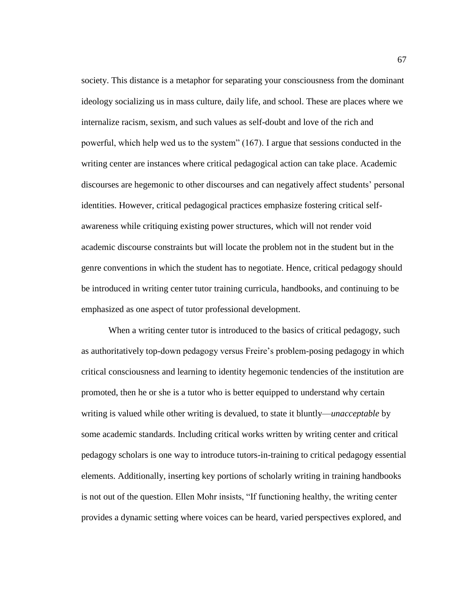society. This distance is a metaphor for separating your consciousness from the dominant ideology socializing us in mass culture, daily life, and school. These are places where we internalize racism, sexism, and such values as self-doubt and love of the rich and powerful, which help wed us to the system" (167). I argue that sessions conducted in the writing center are instances where critical pedagogical action can take place. Academic discourses are hegemonic to other discourses and can negatively affect students' personal identities. However, critical pedagogical practices emphasize fostering critical selfawareness while critiquing existing power structures, which will not render void academic discourse constraints but will locate the problem not in the student but in the genre conventions in which the student has to negotiate. Hence, critical pedagogy should be introduced in writing center tutor training curricula, handbooks, and continuing to be emphasized as one aspect of tutor professional development.

When a writing center tutor is introduced to the basics of critical pedagogy, such as authoritatively top-down pedagogy versus Freire's problem-posing pedagogy in which critical consciousness and learning to identity hegemonic tendencies of the institution are promoted, then he or she is a tutor who is better equipped to understand why certain writing is valued while other writing is devalued, to state it bluntly—*unacceptable* by some academic standards. Including critical works written by writing center and critical pedagogy scholars is one way to introduce tutors-in-training to critical pedagogy essential elements. Additionally, inserting key portions of scholarly writing in training handbooks is not out of the question. Ellen Mohr insists, "If functioning healthy, the writing center provides a dynamic setting where voices can be heard, varied perspectives explored, and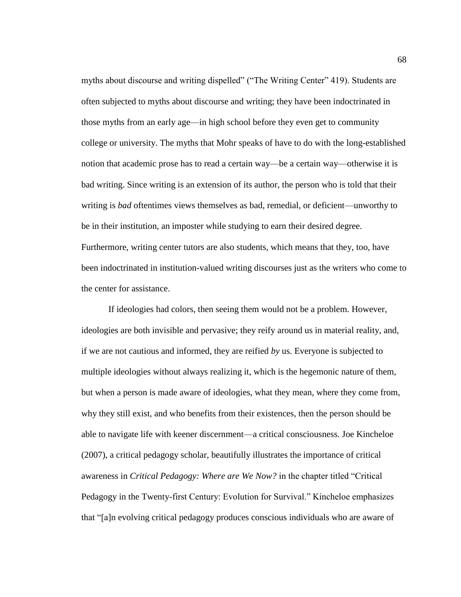myths about discourse and writing dispelled" ("The Writing Center" 419). Students are often subjected to myths about discourse and writing; they have been indoctrinated in those myths from an early age—in high school before they even get to community college or university. The myths that Mohr speaks of have to do with the long-established notion that academic prose has to read a certain way—be a certain way—otherwise it is bad writing. Since writing is an extension of its author, the person who is told that their writing is *bad* oftentimes views themselves as bad, remedial, or deficient—unworthy to be in their institution, an imposter while studying to earn their desired degree. Furthermore, writing center tutors are also students, which means that they, too, have been indoctrinated in institution-valued writing discourses just as the writers who come to the center for assistance.

If ideologies had colors, then seeing them would not be a problem. However, ideologies are both invisible and pervasive; they reify around us in material reality, and, if we are not cautious and informed, they are reified *by* us. Everyone is subjected to multiple ideologies without always realizing it, which is the hegemonic nature of them, but when a person is made aware of ideologies, what they mean, where they come from, why they still exist, and who benefits from their existences, then the person should be able to navigate life with keener discernment—a critical consciousness. Joe Kincheloe (2007), a critical pedagogy scholar, beautifully illustrates the importance of critical awareness in *Critical Pedagogy: Where are We Now?* in the chapter titled "Critical Pedagogy in the Twenty-first Century: Evolution for Survival." Kincheloe emphasizes that "[a]n evolving critical pedagogy produces conscious individuals who are aware of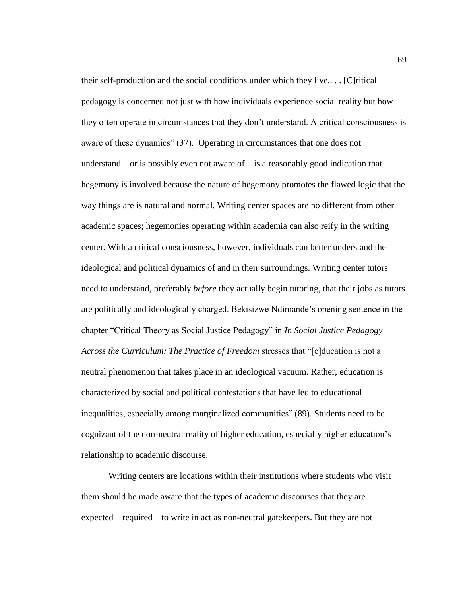their self-production and the social conditions under which they live...  $[C]$ ritical pedagogy is concerned not just with how individuals experience social reality but how they often operate in circumstances that they don't understand. A critical consciousness is aware of these dynamics" (37). Operating in circumstances that one does not understand—or is possibly even not aware of—is a reasonably good indication that hegemony is involved because the nature of hegemony promotes the flawed logic that the way things are is natural and normal. Writing center spaces are no different from other academic spaces; hegemonies operating within academia can also reify in the writing center. With a critical consciousness, however, individuals can better understand the ideological and political dynamics of and in their surroundings. Writing center tutors need to understand, preferably *before* they actually begin tutoring, that their jobs as tutors are politically and ideologically charged. Bekisizwe Ndimande's opening sentence in the chapter "Critical Theory as Social Justice Pedagogy" in *In Social Justice Pedagogy Across the Curriculum: The Practice of Freedom* stresses that "[e]ducation is not a neutral phenomenon that takes place in an ideological vacuum. Rather, education is characterized by social and political contestations that have led to educational inequalities, especially among marginalized communities" (89). Students need to be cognizant of the non-neutral reality of higher education, especially higher education's relationship to academic discourse.

Writing centers are locations within their institutions where students who visit them should be made aware that the types of academic discourses that they are expected—required—to write in act as non-neutral gatekeepers. But they are not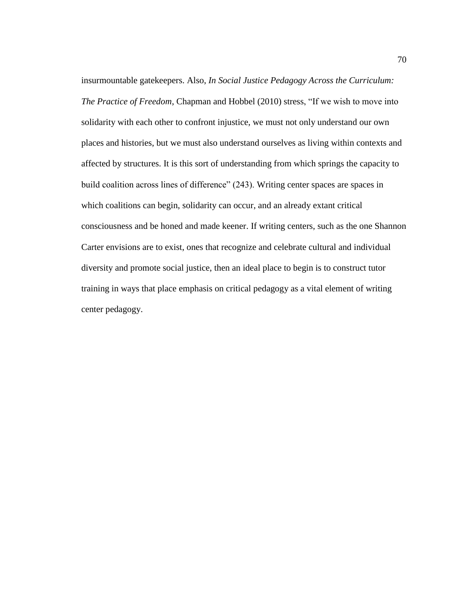insurmountable gatekeepers. Also, *In Social Justice Pedagogy Across the Curriculum: The Practice of Freedom*, Chapman and Hobbel (2010) stress, "If we wish to move into solidarity with each other to confront injustice, we must not only understand our own places and histories, but we must also understand ourselves as living within contexts and affected by structures. It is this sort of understanding from which springs the capacity to build coalition across lines of difference" (243). Writing center spaces are spaces in which coalitions can begin, solidarity can occur, and an already extant critical consciousness and be honed and made keener. If writing centers, such as the one Shannon Carter envisions are to exist, ones that recognize and celebrate cultural and individual diversity and promote social justice, then an ideal place to begin is to construct tutor training in ways that place emphasis on critical pedagogy as a vital element of writing center pedagogy.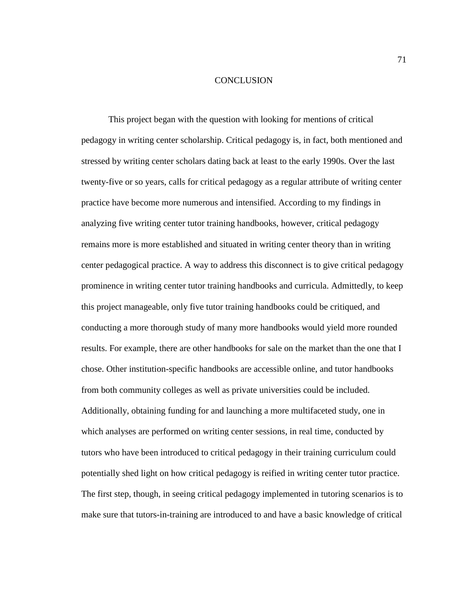## **CONCLUSION**

This project began with the question with looking for mentions of critical pedagogy in writing center scholarship. Critical pedagogy is, in fact, both mentioned and stressed by writing center scholars dating back at least to the early 1990s. Over the last twenty-five or so years, calls for critical pedagogy as a regular attribute of writing center practice have become more numerous and intensified. According to my findings in analyzing five writing center tutor training handbooks, however, critical pedagogy remains more is more established and situated in writing center theory than in writing center pedagogical practice. A way to address this disconnect is to give critical pedagogy prominence in writing center tutor training handbooks and curricula. Admittedly, to keep this project manageable, only five tutor training handbooks could be critiqued, and conducting a more thorough study of many more handbooks would yield more rounded results. For example, there are other handbooks for sale on the market than the one that I chose. Other institution-specific handbooks are accessible online, and tutor handbooks from both community colleges as well as private universities could be included. Additionally, obtaining funding for and launching a more multifaceted study, one in which analyses are performed on writing center sessions, in real time, conducted by tutors who have been introduced to critical pedagogy in their training curriculum could potentially shed light on how critical pedagogy is reified in writing center tutor practice. The first step, though, in seeing critical pedagogy implemented in tutoring scenarios is to make sure that tutors-in-training are introduced to and have a basic knowledge of critical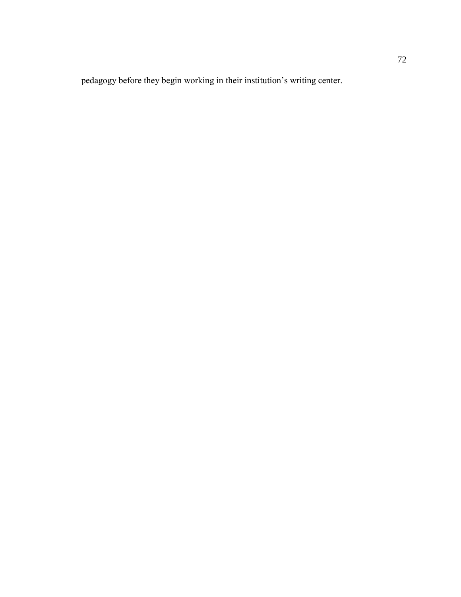pedagogy before they begin working in their institution's writing center.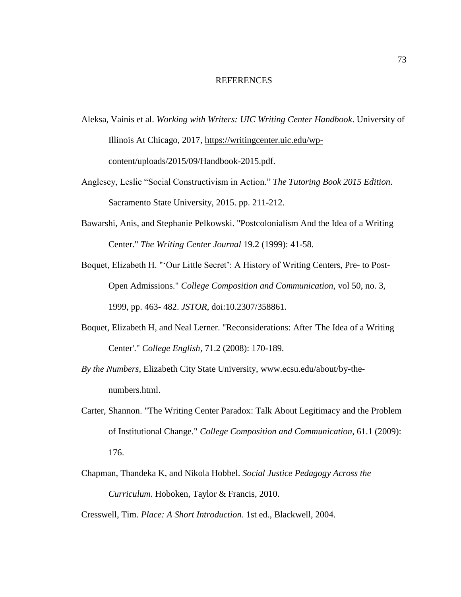## REFERENCES

- Aleksa, Vainis et al. *Working with Writers: UIC Writing Center Handbook*. University of Illinois At Chicago, 2017, [https://writingcenter.uic.edu/wp](https://writingcenter.uic.edu/wp-)content/uploads/2015/09/Handbook-2015.pdf.
- Anglesey, Leslie "Social Constructivism in Action." *The Tutoring Book 2015 Edition*. Sacramento State University, 2015. pp. 211-212.
- Bawarshi, Anis, and Stephanie Pelkowski. "Postcolonialism And the Idea of a Writing Center." *The Writing Center Journal* 19.2 (1999): 41-58.
- Boquet, Elizabeth H. "'Our Little Secret': A History of Writing Centers, Pre- to Post-Open Admissions." *College Composition and Communication*, vol 50, no. 3, 1999, pp. 463- 482. *JSTOR*, doi:10.2307/358861.
- Boquet, Elizabeth H, and Neal Lerner. "Reconsiderations: After 'The Idea of a Writing Center'." *College English*, 71.2 (2008): 170-189.
- *By the Numbers*, Elizabeth City State University, [www.ecsu.edu/about/by-the](http://www.ecsu.edu/about/by-the-%09numbers.html)[numbers.html.](http://www.ecsu.edu/about/by-the-%09numbers.html)
- Carter, Shannon. "The Writing Center Paradox: Talk About Legitimacy and the Problem of Institutional Change." *College Composition and Communication*, 61.1 (2009): 176.
- Chapman, Thandeka K, and Nikola Hobbel. *Social Justice Pedagogy Across the Curriculum*. Hoboken, Taylor & Francis, 2010.

Cresswell, Tim. *Place: A Short Introduction*. 1st ed., Blackwell, 2004.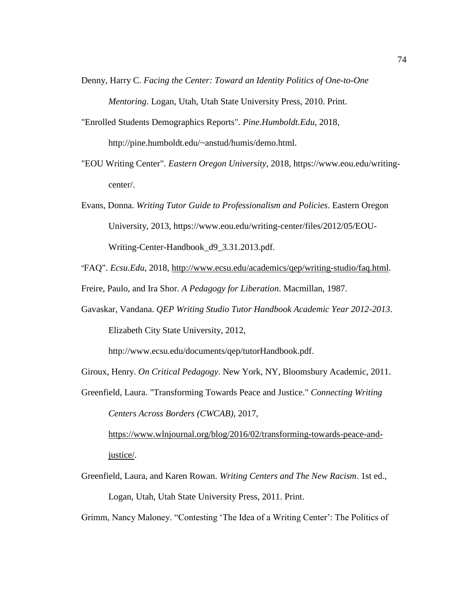- Denny, Harry C. *Facing the Center: Toward an Identity Politics of One-to-One Mentoring*. Logan, Utah, Utah State University Press, 2010. Print.
- "Enrolled Students Demographics Reports". *Pine.Humboldt.Edu*, 2018, http://pine.humboldt.edu/~anstud/humis/demo.html.
- "EOU Writing Center". *Eastern Oregon University*, 2018, [https://www.eou.edu/writing](https://www.eou.edu/writing-)center/.
- Evans, Donna. *Writing Tutor Guide to Professionalism and Policies*. Eastern Oregon University, 2013, [https://www.eou.edu/writing-center/files/2012/05/EOU-](https://www.eou.edu/writing-center/files/2012/05/EOU-%09Writing-)[Writing-C](https://www.eou.edu/writing-center/files/2012/05/EOU-%09Writing-)enter-Handbook\_d9\_3.31.2013.pdf.
- "FAQ". *Ecsu.Edu*, 2018, [http://www.ecsu.edu/academics/qep/writing-studio/faq.html.](http://www.ecsu.edu/academics/qep/writing-studio/faq.html)

Freire, Paulo, and Ira Shor. *A Pedagogy for Liberation*. Macmillan, 1987.

Gavaskar, Vandana. *QEP Writing Studio Tutor Handbook Academic Year 2012-2013*. Elizabeth City State University, 2012,

[http://www.ecsu.edu/documents/qep/tutorHandbook.pdf.](http://www.ecsu.edu/documents/qep/tutorHandbook.pdf)

Giroux, Henry. *On Critical Pedagogy*. New York, NY, Bloomsbury Academic, 2011.

Greenfield, Laura. "Transforming Towards Peace and Justice." *Connecting Writing Centers Across Borders (CWCAB)*, 2017,

[https://www.wlnjournal.org/blog/2016/02/transforming-towards-peace-and](https://www.wlnjournal.org/blog/2016/02/transforming-towards-peace-and-justice/)[justice/.](https://www.wlnjournal.org/blog/2016/02/transforming-towards-peace-and-justice/)

Greenfield, Laura, and Karen Rowan. *Writing Centers and The New Racism*. 1st ed., Logan, Utah, Utah State University Press, 2011. Print.

Grimm, Nancy Maloney. "Contesting 'The Idea of a Writing Center': The Politics of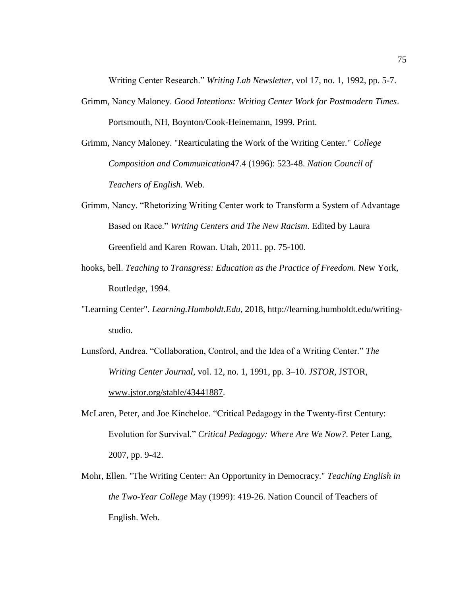Writing Center Research." *Writing Lab Newsletter*, vol 17, no. 1, 1992, pp. 5-7.

- Grimm, Nancy Maloney. *Good Intentions: Writing Center Work for Postmodern Times*. Portsmouth, NH, Boynton/Cook-Heinemann, 1999. Print.
- Grimm, Nancy Maloney. "Rearticulating the Work of the Writing Center." *College Composition and Communication*47.4 (1996): 523-48. *Nation Council of Teachers of English.* Web.
- Grimm, Nancy. "Rhetorizing Writing Center work to Transform a System of Advantage Based on Race." *Writing Centers and The New Racism*. Edited by Laura Greenfield and Karen Rowan. Utah, 2011. pp. 75-100.
- hooks, bell. *Teaching to Transgress: Education as the Practice of Freedom*. New York, Routledge, 1994.
- "Learning Center". *Learning.Humboldt.Edu*, 2018, [http://learning.humboldt.edu/writing](http://learning.humboldt.edu/writing-)studio.
- Lunsford, Andrea. "Collaboration, Control, and the Idea of a Writing Center." *The Writing Center Journal*, vol. 12, no. 1, 1991, pp. 3–10. *JSTOR*, JSTOR, [www.jstor.org/stable/43441887.](http://www.jstor.org/stable/43441887)
- McLaren, Peter, and Joe Kincheloe. "Critical Pedagogy in the Twenty-first Century: Evolution for Survival." *Critical Pedagogy: Where Are We Now?*. Peter Lang, 2007, pp. 9-42.
- Mohr, Ellen. "The Writing Center: An Opportunity in Democracy." *Teaching English in the Two-Year College* May (1999): 419-26. Nation Council of Teachers of English. Web.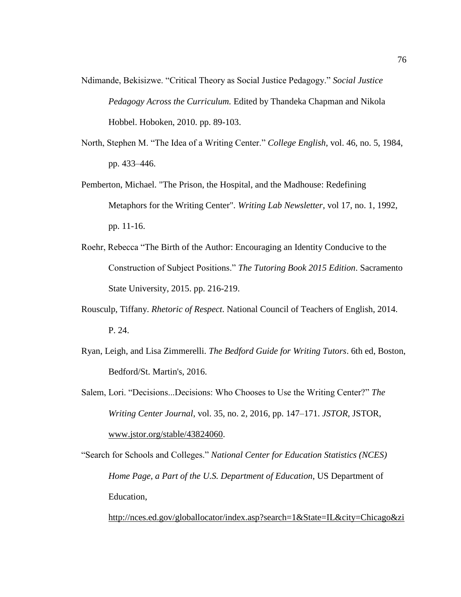- Ndimande, Bekisizwe. "Critical Theory as Social Justice Pedagogy." *Social Justice Pedagogy Across the Curriculum.* Edited by Thandeka Chapman and Nikola Hobbel. Hoboken, 2010. pp. 89-103.
- North, Stephen M. "The Idea of a Writing Center." *College English*, vol. 46, no. 5, 1984, pp. 433–446.
- Pemberton, Michael. "The Prison, the Hospital, and the Madhouse: Redefining Metaphors for the Writing Center". *Writing Lab Newsletter*, vol 17, no. 1, 1992, pp. 11-16.
- Roehr, Rebecca "The Birth of the Author: Encouraging an Identity Conducive to the Construction of Subject Positions." *The Tutoring Book 2015 Edition*. Sacramento State University, 2015. pp. 216-219.
- Rousculp, Tiffany. *Rhetoric of Respect*. National Council of Teachers of English, 2014. P. 24.
- Ryan, Leigh, and Lisa Zimmerelli. *The Bedford Guide for Writing Tutors*. 6th ed, Boston, Bedford/St. Martin's, 2016.
- Salem, Lori. "Decisions...Decisions: Who Chooses to Use the Writing Center?" *The Writing Center Journal*, vol. 35, no. 2, 2016, pp. 147–171. *JSTOR*, JSTOR, [www.jstor.org/stable/43824060.](http://www.jstor.org/stable/43824060)
- "Search for Schools and Colleges." *National Center for Education Statistics (NCES) Home Page, a Part of the U.S. Department of Education*, US Department of Education,

[http://nces.ed.gov/globallocator/index.asp?search=1&State=IL&city=Chicago&zi](http://nces.ed.gov/globallocator/index.asp?search=1&State=IL&city=Chicago&zipcode=&miles=&itemname=UniversityofIllinois&sortby=name&College=1&Status=SearchFinished&Records=77&CS=D7E7598C.)